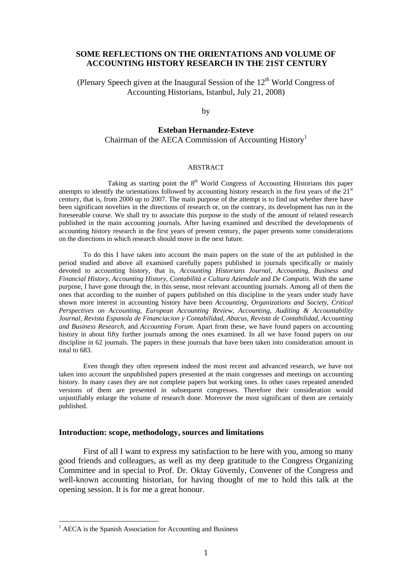# **SOME REFLECTIONS ON THE ORIENTATIONS AND VOLUME OF ACCOUNTING HISTORY RESEARCH IN THE 21ST CENTURY**

(Plenary Speech given at the Inaugural Session of the  $12<sup>th</sup>$  World Congress of Accounting Historians, Istanbul, July 21, 2008)

# by

# **Esteban Hernandez-Esteve**  Chairman of the AECA Commission of Accounting  $Histor<sup>1</sup>$

#### ABSTRACT

Taking as starting point the  $8<sup>th</sup>$  World Congress of Accounting Historians this paper attempts to identify the orientations followed by accounting history research in the first years of the 21<sup>st</sup> century, that is, from 2000 up to 2007. The main purpose of the attempt is to find out whether there have been significant novelties in the directions of research or, on the contrary, its development has run in the foreseeable course. We shall try to associate this purpose to the study of the amount of related research published in the main accounting journals. After having examined and described the developments of accounting history research in the first years of present century, the paper presents some considerations on the directions in which research should move in the next future.

 To do this I have taken into account the main papers on the state of the art published in the period studied and above all examined carefully papers published in journals specifically or mainly devoted to accounting history, that is, *Accounting Historians Journal*, *Accounting, Business and Financial History*, *Accounting History*, *Contabilità e Cultura Aziendale* and *De Computis*. With the same purpose, I have gone through the, in this sense, most relevant accounting journals. Among all of them the ones that according to the number of papers published on this discipline in the years under study have shown more interest in accounting history have been *Accounting, Organizations and Society*, *Critical Perspectives on Accounting*, *European Accounting Review*, *Accounting, Auditing & Accountability Journal*, *Revista Espanola de Financiacion y Contabilidad*, *Abacus*, *Revista de Contabilidad*, *Accounting and Business Research*, and *Accounting Forum*. Apart from these, we have found papers on accounting history in about fifty further journals among the ones examined. In all we have found papers on our discipline in 62 journals. The papers in these journals that have been taken into consideration amount in total to 683.

Even though they often represent indeed the most recent and advanced research, we have not taken into account the unpublished papers presented at the main congresses and meetings on accounting history. In many cases they are not complete papers but working ones. In other cases repeated amended versions of them are presented in subsequent congresses. Therefore their consideration would unjustifiably enlarge the volume of research done. Moreover the most significant of them are certainly published.

## **Introduction: scope, methodology, sources and limitations**

First of all I want to express my satisfaction to be here with you, among so many good friends and colleagues, as well as my deep gratitude to the Congress Organizing Committee and in special to Prof. Dr. Oktay Güvemly, Convener of the Congress and well-known accounting historian, for having thought of me to hold this talk at the opening session. It is for me a great honour.

1

<sup>&</sup>lt;sup>1</sup> AECA is the Spanish Association for Accounting and Business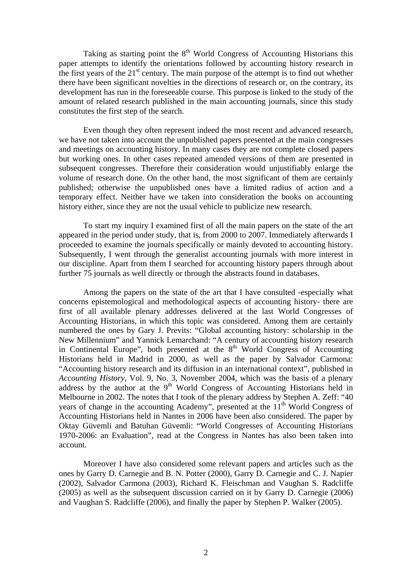Taking as starting point the  $8<sup>th</sup>$  World Congress of Accounting Historians this paper attempts to identify the orientations followed by accounting history research in the first years of the  $21<sup>st</sup>$  century. The main purpose of the attempt is to find out whether there have been significant novelties in the directions of research or, on the contrary, its development has run in the foreseeable course. This purpose is linked to the study of the amount of related research published in the main accounting journals, since this study constitutes the first step of the search.

Even though they often represent indeed the most recent and advanced research, we have not taken into account the unpublished papers presented at the main congresses and meetings on accounting history. In many cases they are not complete closed papers but working ones. In other cases repeated amended versions of them are presented in subsequent congresses. Therefore their consideration would unjustifiably enlarge the volume of research done. On the other hand, the most significant of them are certainly published; otherwise the unpublished ones have a limited radius of action and a temporary effect. Neither have we taken into consideration the books on accounting history either, since they are not the usual vehicle to publicize new research.

To start my inquiry I examined first of all the main papers on the state of the art appeared in the period under study, that is, from 2000 to 2007. Immediately afterwards I proceeded to examine the journals specifically or mainly devoted to accounting history. Subsequently. I went through the generalist accounting journals with more interest in our discipline. Apart from them I searched for accounting history papers through about further 75 journals as well directly or through the abstracts found in databases.

Among the papers on the state of the art that I have consulted -especially what concerns epistemological and methodological aspects of accounting history- there are first of all available plenary addresses delivered at the last World Congresses of Accounting Historians, in which this topic was considered. Among them are certainly numbered the ones by Gary J. Previts: "Global accounting history: scholarship in the New Millennium" and Yannick Lemarchand: "A century of accounting history research in Continental Europe", both presented at the  $8<sup>th</sup>$  World Congress of Accounting Historians held in Madrid in 2000, as well as the paper by Salvador Carmona: "Accounting history research and its diffusion in an international context", published in *Accounting History*, Vol. 9, No. 3, November 2004, which was the basis of a plenary address by the author at the  $9<sup>th</sup>$  World Congress of Accounting Historians held in Melbourne in 2002. The notes that I took of the plenary address by Stephen A. Zeff: "40 years of change in the accounting Academy", presented at the 11<sup>th</sup> World Congress of Accounting Historians held in Nantes in 2006 have been also considered. The paper by Oktay Güvemli and Batuhan Güvemli: "World Congresses of Accounting Historians 1970-2006: an Evaluation", read at the Congress in Nantes has also been taken into account.

Moreover I have also considered some relevant papers and articles such as the ones by Garry D. Carnegie and B. N. Potter (2000), Garry D. Carnegie and C. J. Napier (2002), Salvador Carmona (2003), Richard K. Fleischman and Vaughan S. Radcliffe (2005) as well as the subsequent discussion carried on it by Garry D. Carnegie (2006) and Vaughan S. Radcliffe (2006), and finally the paper by Stephen P. Walker (2005).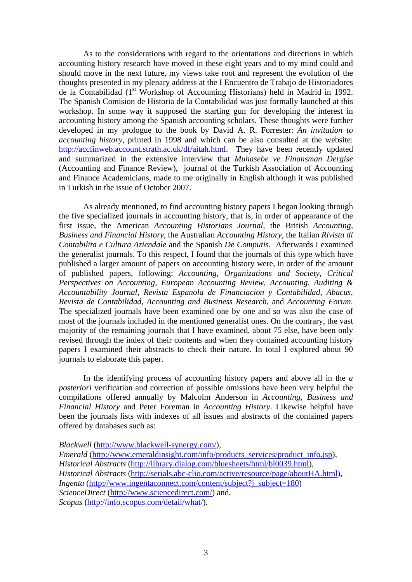As to the considerations with regard to the orientations and directions in which accounting history research have moved in these eight years and to my mind could and should move in the next future, my views take root and represent the evolution of the thoughts presented in my plenary address at the I Encuentro de Trabajo de Historiadores de la Contabilidad (1<sup>st</sup> Workshop of Accounting Historians) held in Madrid in 1992. The Spanish Comision de Historia de la Contabilidad was just formally launched at this workshop. In some way it supposed the starting gun for developing the interest in accounting history among the Spanish accounting scholars. These thoughts were further developed in my prologue to the book by David A. R. Forrester: *An invitation to accounting history*, printed in 1998 and which can be also consulted at the website: http://accfinweb.account.strath.ac.uk/df/aitah.html. They have been recently updated and summarized in the extensive interview that *Muhasebe ve Finansman Dergise* (Accounting and Finance Review), journal of the Turkish Association of Accounting and Finance Academicians, made to me originally in English although it was published in Turkish in the issue of October 2007.

 As already mentioned, to find accounting history papers I began looking through the five specialized journals in accounting history, that is, in order of appearance of the first issue, the American *Accounting Historians Journal*, the British *Accounting, Business and Financial History*, the Australian *Accounting History*, the Italian *Rivista di Contabilita e Cultura Aziendale* and the Spanish *De Computis*. Afterwards I examined the generalist journals. To this respect, I found that the journals of this type which have published a larger amount of papers on accounting history were, in order of the amount of published papers, following: *Accounting, Organizations and Society*, *Critical Perspectives on Accounting*, *European Accounting Review*, *Accounting, Auditing & Accountability Journal*, *Revista Espanola de Financiacion y Contabilidad*, *Abacus*, *Revista de Contabilidad*, *Accounting and Business Research*, and *Accounting Forum*. The specialized journals have been examined one by one and so was also the case of most of the journals included in the mentioned generalist ones. On the contrary, the vast majority of the remaining journals that I have examined, about 75 else, have been only revised through the index of their contents and when they contained accounting history papers I examined their abstracts to check their nature. In total I explored about 90 journals to elaborate this paper.

In the identifying process of accounting history papers and above all in the *a posteriori* verification and correction of possible omissions have been very helpful the compilations offered annually by Malcolm Anderson in *Accounting, Business and Financial History* and Peter Foreman in *Accounting History*. Likewise helpful have been the journals lists with indexes of all issues and abstracts of the contained papers offered by databases such as:

*Blackwell* (http://www.blackwell-synergy.com/), *Emerald* (http://www.emeraldinsight.com/info/products\_services/product\_info.jsp), *Historical Abstracts* (http://library.dialog.com/bluesheets/html/bl0039.html), *Historical Abstracts* (http://serials.abc-clio.com/active/resource/page/aboutHA.html), *Ingenta* (http://www.ingentaconnect.com/content/subject?j\_subject=180) *ScienceDirect* (http://www.sciencedirect.com/) and, *Scopus* (http://info.scopus.com/detail/what/).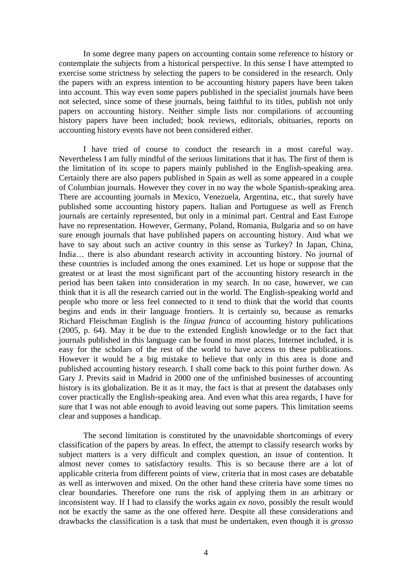In some degree many papers on accounting contain some reference to history or contemplate the subjects from a historical perspective. In this sense I have attempted to exercise some strictness by selecting the papers to be considered in the research. Only the papers with an express intention to be accounting history papers have been taken into account. This way even some papers published in the specialist journals have been not selected, since some of these journals, being faithful to its titles, publish not only papers on accounting history. Neither simple lists nor compilations of accounting history papers have been included; book reviews, editorials, obituaries, reports on accounting history events have not been considered either.

I have tried of course to conduct the research in a most careful way. Nevertheless I am fully mindful of the serious limitations that it has. The first of them is the limitation of its scope to papers mainly published in the English-speaking area. Certainly there are also papers published in Spain as well as some appeared in a couple of Columbian journals. However they cover in no way the whole Spanish-speaking area. There are accounting journals in Mexico, Venezuela, Argentina, etc., that surely have published some accounting history papers. Italian and Portuguese as well as French journals are certainly represented, but only in a minimal part. Central and East Europe have no representation. However, Germany, Poland, Romania, Bulgaria and so on have sure enough journals that have published papers on accounting history. And what we have to say about such an active country in this sense as Turkey? In Japan, China, India... there is also abundant research activity in accounting history. No journal of these countries is included among the ones examined. Let us hope or suppose that the greatest or at least the most significant part of the accounting history research in the period has been taken into consideration in my search. In no case, however, we can think that it is all the research carried out in the world. The English-speaking world and people who more or less feel connected to it tend to think that the world that counts begins and ends in their language frontiers. It is certainly so, because as remarks Richard Fleischman English is the *lingua franca* of accounting history publications (2005, p. 64). May it be due to the extended English knowledge or to the fact that journals published in this language can be found in most places, Internet included, it is easy for the scholars of the rest of the world to have access to these publications. However it would be a big mistake to believe that only in this area is done and published accounting history research. I shall come back to this point further down. As Gary J. Previts said in Madrid in 2000 one of the unfinished businesses of accounting history is its globalization. Be it as it may, the fact is that at present the databases only cover practically the English-speaking area. And even what this area regards, I have for sure that I was not able enough to avoid leaving out some papers. This limitation seems clear and supposes a handicap.

The second limitation is constituted by the unavoidable shortcomings of every classification of the papers by areas. In effect, the attempt to classify research works by subject matters is a very difficult and complex question, an issue of contention. It almost never comes to satisfactory results. This is so because there are a lot of applicable criteria from different points of view, criteria that in most cases are debatable as well as interwoven and mixed. On the other hand these criteria have some times no clear boundaries. Therefore one runs the risk of applying them in an arbitrary or inconsistent way. If I had to classify the works again *ex novo*, possibly the result would not be exactly the same as the one offered here. Despite all these considerations and drawbacks the classification is a task that must be undertaken, even though it is *grosso*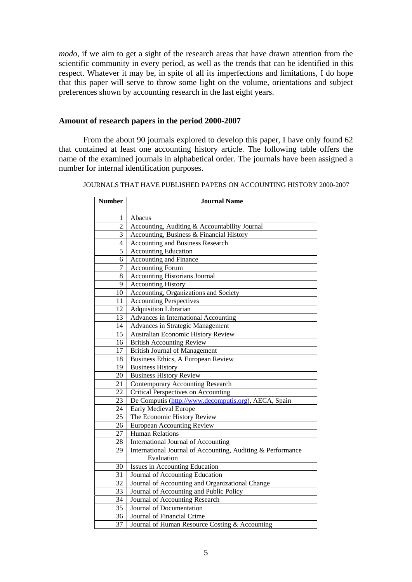*modo*, if we aim to get a sight of the research areas that have drawn attention from the scientific community in every period, as well as the trends that can be identified in this respect. Whatever it may be, in spite of all its imperfections and limitations, I do hope that this paper will serve to throw some light on the volume, orientations and subject preferences shown by accounting research in the last eight years.

## **Amount of research papers in the period 2000-2007**

From the about 90 journals explored to develop this paper, I have only found 62 that contained at least one accounting history article. The following table offers the name of the examined journals in alphabetical order. The journals have been assigned a number for internal identification purposes.

| JOURNALS THAT HAVE PUBLISHED PAPERS ON ACCOUNTING HISTORY 2000-2007 |  |  |
|---------------------------------------------------------------------|--|--|
|                                                                     |  |  |

| <b>Number</b>  | <b>Journal Name</b>                                         |
|----------------|-------------------------------------------------------------|
| 1              | Abacus                                                      |
| $\overline{2}$ | Accounting, Auditing & Accountability Journal               |
| 3              | Accounting, Business & Financial History                    |
| 4              | <b>Accounting and Business Research</b>                     |
| 5              | <b>Accounting Education</b>                                 |
| 6              | <b>Accounting and Finance</b>                               |
| 7              | <b>Accounting Forum</b>                                     |
| 8              | <b>Accounting Historians Journal</b>                        |
| 9              | <b>Accounting History</b>                                   |
| 10             | Accounting, Organizations and Society                       |
| 11             | <b>Accounting Perspectives</b>                              |
| 12             | Adquisition Librarian                                       |
| 13             | Advances in International Accounting                        |
| 14             | Advances in Strategic Management                            |
| 15             | <b>Australian Economic History Review</b>                   |
| 16             | <b>British Accounting Review</b>                            |
| 17             | <b>British Journal of Management</b>                        |
| 18             | Business Ethics, A European Review                          |
| 19             | <b>Business History</b>                                     |
| 20             | <b>Business History Review</b>                              |
| 21             | <b>Contemporary Accounting Research</b>                     |
| 22             | <b>Critical Perspectives on Accounting</b>                  |
| 23             | De Computis (http://www.decomputis.org), AECA, Spain        |
| 24             | Early Medieval Europe                                       |
| 25             | The Economic History Review                                 |
| 26             | <b>European Accounting Review</b>                           |
| 27             | <b>Human Relations</b>                                      |
| 28             | International Journal of Accounting                         |
| 29             | International Journal of Accounting, Auditing & Performance |
|                | Evaluation                                                  |
| 30             | Issues in Accounting Education                              |
| 31             | Journal of Accounting Education                             |
| 32             | Journal of Accounting and Organizational Change             |
| 33             | Journal of Accounting and Public Policy                     |
| 34             | Journal of Accounting Research                              |
| 35             | Journal of Documentation                                    |
| 36             | Journal of Financial Crime                                  |
| 37             | Journal of Human Resource Costing & Accounting              |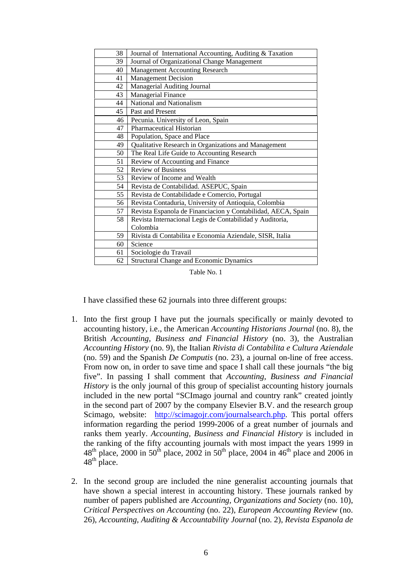| 38 | Journal of International Accounting, Auditing & Taxation     |
|----|--------------------------------------------------------------|
| 39 | Journal of Organizational Change Management                  |
| 40 | <b>Management Accounting Research</b>                        |
| 41 | <b>Management Decision</b>                                   |
| 42 | Managerial Auditing Journal                                  |
| 43 | Managerial Finance                                           |
| 44 | National and Nationalism                                     |
| 45 | Past and Present                                             |
| 46 | Pecunia. University of Leon, Spain                           |
| 47 | Pharmaceutical Historian                                     |
| 48 | Population, Space and Place                                  |
| 49 | Qualitative Research in Organizations and Management         |
| 50 | The Real Life Guide to Accounting Research                   |
| 51 | Review of Accounting and Finance                             |
| 52 | <b>Review of Business</b>                                    |
| 53 | Review of Income and Wealth                                  |
| 54 | Revista de Contabilidad. ASEPUC, Spain                       |
| 55 | Revista de Contabilidade e Comercio, Portugal                |
| 56 | Revista Contaduria, University of Antioquia, Colombia        |
| 57 | Revista Espanola de Financiacion y Contabilidad, AECA, Spain |
| 58 | Revista Internacional Legis de Contabilidad y Auditoria,     |
|    | Colombia                                                     |
| 59 | Rivista di Contabilita e Economia Aziendale, SISR, Italia    |
| 60 | Science                                                      |
| 61 | Sociologie du Travail                                        |
| 62 | <b>Structural Change and Economic Dynamics</b>               |

Table No. 1

I have classified these 62 journals into three different groups:

- 1. Into the first group I have put the journals specifically or mainly devoted to accounting history, i.e., the American *Accounting Historians Journal* (no. 8), the British *Accounting, Business and Financial History* (no. 3), the Australian *Accounting History* (no. 9), the Italian *Rivista di Contabilita e Cultura Aziendale* (no. 59) and the Spanish *De Computis* (no. 23), a journal on-line of free access. From now on, in order to save time and space I shall call these journals "the big five". In passing I shall comment that *Accounting, Business and Financial History* is the only journal of this group of specialist accounting history journals included in the new portal "SCImago journal and country rank" created jointly in the second part of 2007 by the company Elsevier B.V. and the research group Scimago, website: http://scimagojr.com/journalsearch.php. This portal offers information regarding the period 1999-2006 of a great number of journals and ranks them yearly. *Accounting, Business and Financial History* is included in the ranking of the fifty accounting journals with most impact the years 1999 in  $48<sup>th</sup>$  place, 2000 in 50<sup>th</sup> place, 2002 in 50<sup>th</sup> place, 2004 in  $46<sup>th</sup>$  place and 2006 in  $48^{\text{th}}$  place.
- 2. In the second group are included the nine generalist accounting journals that have shown a special interest in accounting history. These journals ranked by number of papers published are *Accounting, Organizations and Society* (no. 10), *Critical Perspectives on Accounting* (no. 22), *European Accounting Review* (no. 26), *Accounting, Auditing & Accountability Journal* (no. 2), *Revista Espanola de*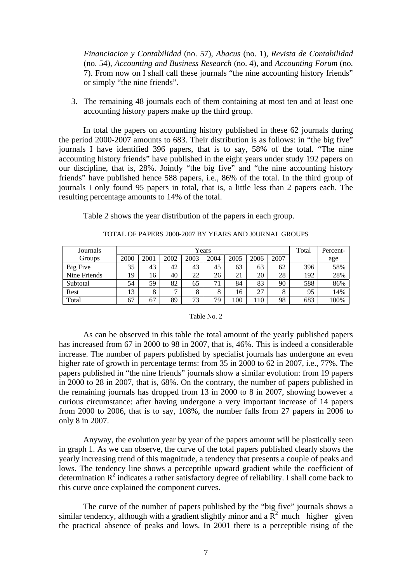*Financiacion y Contabilidad* (no. 57), *Abacus* (no. 1), *Revista de Contabilidad* (no. 54), *Accounting and Business Research* (no. 4), and *Accounting Forum* (no. 7). From now on I shall call these journals "the nine accounting history friends" or simply "the nine friends".

3. The remaining 48 journals each of them containing at most ten and at least one accounting history papers make up the third group.

In total the papers on accounting history published in these 62 journals during the period 2000-2007 amounts to 683. Their distribution is as follows: in "the big five" journals I have identified 396 papers, that is to say, 58% of the total. "The nine accounting history friends" have published in the eight years under study 192 papers on our discipline, that is, 28%. Jointly "the big five" and "the nine accounting history friends" have published hence 588 papers, i.e., 86% of the total. In the third group of journals I only found 95 papers in total, that is, a little less than 2 papers each. The resulting percentage amounts to 14% of the total.

Table 2 shows the year distribution of the papers in each group.

| Journals     |      |      |      | Total | Percent- |      |      |      |     |      |
|--------------|------|------|------|-------|----------|------|------|------|-----|------|
| Groups       | 2000 | 2001 | 2002 | 2003  | 2004     | 2005 | 2006 | 2007 |     | age  |
| Big Five     | 35   | 43   | 42   | 43    | 45       | 63   | 63   | 62   | 396 | 58%  |
| Nine Friends | 19   | 16   | 40   | 22    | 26       | 21   | 20   | 28   | 192 | 28%  |
| Subtotal     | 54   | 59   | 82   | 65    | 71       | 84   | 83   | 90   | 588 | 86%  |
| Rest         | 13   | 8    |      | 8     | 8        | 16   | 27   | 8    | 95  | 14%  |
| Total        | 67   | 67   | 89   | 73    | 79       | 100  | 110  | 98   | 683 | 100% |

## TOTAL OF PAPERS 2000-2007 BY YEARS AND J0URNAL GROUPS

### Table No. 2

 As can be observed in this table the total amount of the yearly published papers has increased from 67 in 2000 to 98 in 2007, that is, 46%. This is indeed a considerable increase. The number of papers published by specialist journals has undergone an even higher rate of growth in percentage terms: from 35 in 2000 to 62 in 2007, i.e., 77%. The papers published in "the nine friends" journals show a similar evolution: from 19 papers in 2000 to 28 in 2007, that is, 68%. On the contrary, the number of papers published in the remaining journals has dropped from 13 in 2000 to 8 in 2007, showing however a curious circumstance: after having undergone a very important increase of 14 papers from 2000 to 2006, that is to say, 108%, the number falls from 27 papers in 2006 to only 8 in 2007.

Anyway, the evolution year by year of the papers amount will be plastically seen in graph 1. As we can observe, the curve of the total papers published clearly shows the yearly increasing trend of this magnitude, a tendency that presents a couple of peaks and lows. The tendency line shows a perceptible upward gradient while the coefficient of determination  $R^2$  indicates a rather satisfactory degree of reliability. I shall come back to this curve once explained the component curves.

 The curve of the number of papers published by the "big five" journals shows a similar tendency, although with a gradient slightly minor and a  $\overline{R}^2$  much higher given the practical absence of peaks and lows. In 2001 there is a perceptible rising of the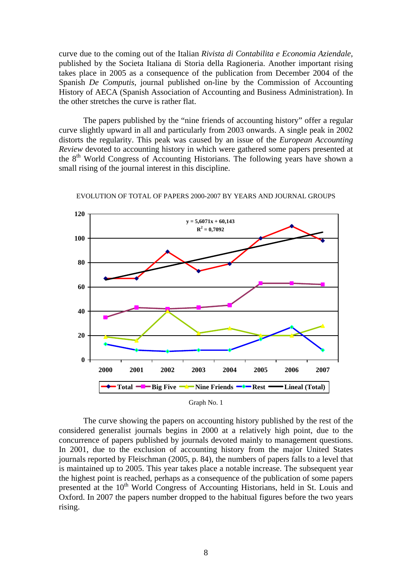curve due to the coming out of the Italian *Rivista di Contabilita e Economia Aziendale*, published by the Societa Italiana di Storia della Ragioneria. Another important rising takes place in 2005 as a consequence of the publication from December 2004 of the Spanish *De Computis*, journal published on-line by the Commission of Accounting History of AECA (Spanish Association of Accounting and Business Administration). In the other stretches the curve is rather flat.

The papers published by the "nine friends of accounting history" offer a regular curve slightly upward in all and particularly from 2003 onwards. A single peak in 2002 distorts the regularity. This peak was caused by an issue of the *European Accounting Review* devoted to accounting history in which were gathered some papers presented at the 8<sup>th</sup> World Congress of Accounting Historians. The following years have shown a small rising of the journal interest in this discipline.



EVOLUTION OF TOTAL OF PAPERS 2000-2007 BY YEARS AND JOURNAL GROUPS

 The curve showing the papers on accounting history published by the rest of the considered generalist journals begins in 2000 at a relatively high point, due to the concurrence of papers published by journals devoted mainly to management questions. In 2001, due to the exclusion of accounting history from the major United States journals reported by Fleischman (2005, p. 84), the numbers of papers falls to a level that is maintained up to 2005. This year takes place a notable increase. The subsequent year the highest point is reached, perhaps as a consequence of the publication of some papers presented at the  $10<sup>th</sup>$  World Congress of Accounting Historians, held in St. Louis and Oxford. In 2007 the papers number dropped to the habitual figures before the two years rising.

Graph No. 1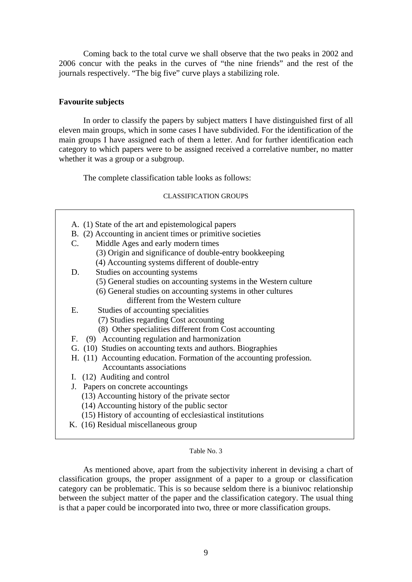Coming back to the total curve we shall observe that the two peaks in 2002 and 2006 concur with the peaks in the curves of "the nine friends" and the rest of the journals respectively. "The big five" curve plays a stabilizing role.

# **Favourite subjects**

 $\overline{\phantom{a}}$ 

 In order to classify the papers by subject matters I have distinguished first of all eleven main groups, which in some cases I have subdivided. For the identification of the main groups I have assigned each of them a letter. And for further identification each category to which papers were to be assigned received a correlative number, no matter whether it was a group or a subgroup.

The complete classification table looks as follows:

# CLASSIFICATION GROUPS

| A. (1) State of the art and epistemological papers                    |
|-----------------------------------------------------------------------|
| B. (2) Accounting in ancient times or primitive societies             |
| Middle Ages and early modern times<br>$\mathbf{C}$ .                  |
| (3) Origin and significance of double-entry bookkeeping               |
| (4) Accounting systems different of double-entry                      |
|                                                                       |
| Studies on accounting systems<br>D.                                   |
| (5) General studies on accounting systems in the Western culture      |
| (6) General studies on accounting systems in other cultures           |
| different from the Western culture                                    |
| Studies of accounting specialities<br>Ε.                              |
| (7) Studies regarding Cost accounting                                 |
| (8) Other specialities different from Cost accounting                 |
| F. (9) Accounting regulation and harmonization                        |
| G. (10) Studies on accounting texts and authors. Biographies          |
| H. (11) Accounting education. Formation of the accounting profession. |
| <b>Accountants associations</b>                                       |
| I. (12) Auditing and control                                          |
| J. Papers on concrete accountings                                     |
| (13) Accounting history of the private sector                         |
| (14) Accounting history of the public sector                          |
| (15) History of accounting of ecclesiastical institutions             |
| K. (16) Residual miscellaneous group                                  |
|                                                                       |

## Table No. 3

 As mentioned above, apart from the subjectivity inherent in devising a chart of classification groups, the proper assignment of a paper to a group or classification category can be problematic. This is so because seldom there is a biunivoc relationship between the subject matter of the paper and the classification category. The usual thing is that a paper could be incorporated into two, three or more classification groups.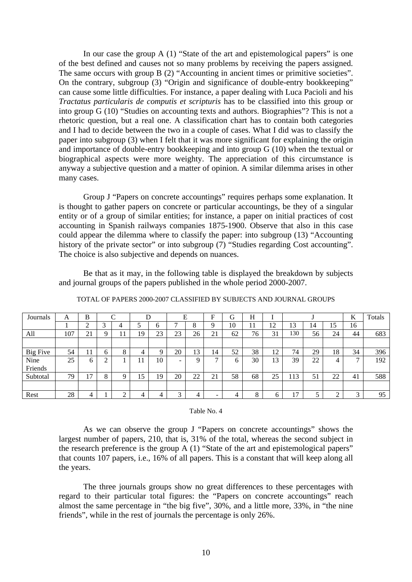In our case the group A (1) "State of the art and epistemological papers" is one of the best defined and causes not so many problems by receiving the papers assigned. The same occurs with group B (2) "Accounting in ancient times or primitive societies". On the contrary, subgroup (3) "Origin and significance of double-entry bookkeeping" can cause some little difficulties. For instance, a paper dealing with Luca Pacioli and his *Tractatus particularis de computis et scripturis* has to be classified into this group or into group G (10) "Studies on accounting texts and authors. Biographies"? This is not a rhetoric question, but a real one. A classification chart has to contain both categories and I had to decide between the two in a couple of cases. What I did was to classify the paper into subgroup (3) when I felt that it was more significant for explaining the origin and importance of double-entry bookkeeping and into group G (10) when the textual or biographical aspects were more weighty. The appreciation of this circumstance is anyway a subjective question and a matter of opinion. A similar dilemma arises in other many cases.

 Group J "Papers on concrete accountings" requires perhaps some explanation. It is thought to gather papers on concrete or particular accountings, be they of a singular entity or of a group of similar entities; for instance, a paper on initial practices of cost accounting in Spanish railways companies 1875-1900. Observe that also in this case could appear the dilemma where to classify the paper: into subgroup (13) "Accounting history of the private sector" or into subgroup (7) "Studies regarding Cost accounting". The choice is also subjective and depends on nuances.

 Be that as it may, in the following table is displayed the breakdown by subjects and journal groups of the papers published in the whole period 2000-2007.

| Journals        | A   | B              |             | ⌒            |    |    |                          | Е      | Е  | G            | H            |         |     |    |        | K            | Totals |
|-----------------|-----|----------------|-------------|--------------|----|----|--------------------------|--------|----|--------------|--------------|---------|-----|----|--------|--------------|--------|
|                 |     | ⌒              | $\sim$<br>J | 4            |    | O  |                          | Ω<br>Ω |    | 10           |              | 12<br>┸ | 13  | 14 | 15     | 16           |        |
| All             | 107 | ≘<br>41        |             | 1 J          | 19 | 23 | 23                       | 26     | 21 | 62           | 76           | 31      | 130 | 56 | 24     | 44           | 683    |
|                 |     |                |             |              |    |    |                          |        |    |              |              |         |     |    |        |              |        |
| <b>Big Five</b> | 54  |                | n           | $\circ$<br>◠ | 4  | Q  | 20                       | 13     | 14 | 52           | 38           | 12      | 74  | 29 | 18     | 34           | 396    |
| Nine            | 25  | <sub>b</sub>   |             |              | 11 | 10 | $\overline{\phantom{0}}$ |        | −  | <sub>(</sub> | 30           | 13      | 39  | 22 | 4      | $\mathbf{r}$ | 192    |
| Friends         |     |                |             |              |    |    |                          |        |    |              |              |         |     |    |        |              |        |
| Subtotal        | 79  | $\overline{ }$ | Ω           |              | 15 | 19 | 20                       | 22     | 21 | 58           | 68           | 25      | 13  | 51 | 22     | 41           | 588    |
|                 |     |                |             |              |    |    |                          |        |    |              |              |         |     |    |        |              |        |
| Rest            | 28  | 4              |             |              | 4  | 4  | ◠                        | 4      | -  | 4            | $\circ$<br>◠ | h       | 17  |    | ◠<br>∠ | $\mathbf{z}$ | 95     |

TOTAL OF PAPERS 2000-2007 CLASSIFIED BY SUBJECTS AND JOURNAL GROUPS

#### Table No. 4

As we can observe the group J "Papers on concrete accountings" shows the largest number of papers, 210, that is, 31% of the total, whereas the second subject in the research preference is the group A (1) "State of the art and epistemological papers" that counts 107 papers, i.e., 16% of all papers. This is a constant that will keep along all the years.

The three journals groups show no great differences to these percentages with regard to their particular total figures: the "Papers on concrete accountings" reach almost the same percentage in "the big five", 30%, and a little more, 33%, in "the nine friends", while in the rest of journals the percentage is only 26%.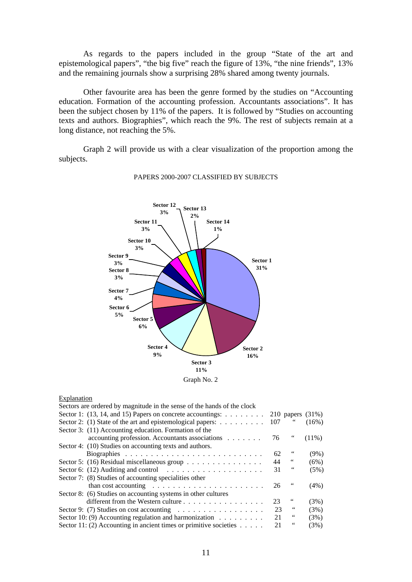As regards to the papers included in the group "State of the art and epistemological papers", "the big five" reach the figure of 13%, "the nine friends", 13% and the remaining journals show a surprising 28% shared among twenty journals.

Other favourite area has been the genre formed by the studies on "Accounting education. Formation of the accounting profession. Accountants associations". It has been the subject chosen by 11% of the papers. It is followed by "Studies on accounting texts and authors. Biographies", which reach the 9%. The rest of subjects remain at a long distance, not reaching the 5%.

Graph 2 will provide us with a clear visualization of the proportion among the subjects.



#### PAPERS 2000-2007 CLASSIFIED BY SUBJECTS

### Explanation

| Sectors are ordered by magnitude in the sense of the hands of the clock         |     |                     |          |
|---------------------------------------------------------------------------------|-----|---------------------|----------|
| Sector 1: $(13, 14, and 15)$ Papers on concrete accountings:                    |     | 210 papers $(31\%)$ |          |
| Sector 2: (1) State of the art and epistemological papers: $\dots \dots \dots$  | 107 | 66                  | $(16\%)$ |
| Sector 3: (11) Accounting education. Formation of the                           |     |                     |          |
| accounting profession. Accountants associations                                 | 76  |                     | $(11\%)$ |
| Sector 4: (10) Studies on accounting texts and authors.                         |     |                     |          |
|                                                                                 | 62  | 66                  | $(9\%)$  |
| Sector 5: (16) Residual miscellaneous group $\dots \dots \dots \dots \dots$     | 44  | $\epsilon\epsilon$  | (6%)     |
| Sector 6: (12) Auditing and control $\ldots \ldots \ldots \ldots \ldots \ldots$ | 31  | $\,6\,6$            | (5%)     |
| Sector 7: (8) Studies of accounting specialities other                          |     |                     |          |
| than cost accounting $\ldots \ldots \ldots \ldots \ldots \ldots \ldots$         | 26  | 66                  | (4%)     |
| Sector 8: (6) Studies on accounting systems in other cultures                   |     |                     |          |
| different from the Western culture                                              | 23  | 66                  | (3%)     |
| Sector 9: (7) Studies on cost accounting $\dots \dots \dots \dots \dots \dots$  | 23  | 66                  | (3%)     |
| Sector 10: (9) Accounting regulation and harmonization $\dots \dots \dots$      | 21  | 66                  | (3%)     |
| Sector 11: (2) Accounting in ancient times or primitive societies $\dots$ .     | 21  | 66                  | (3%)     |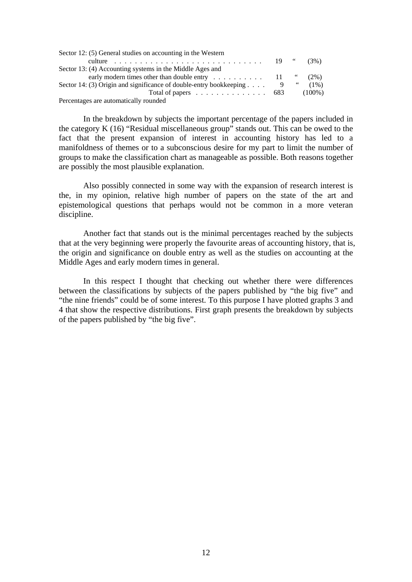| Sector 12: (5) General studies on accounting in the Western                            |  |         |
|----------------------------------------------------------------------------------------|--|---------|
|                                                                                        |  | (3%)    |
| Sector 13: (4) Accounting systems in the Middle Ages and                               |  |         |
| early modern times other than double entry $\ldots \ldots \ldots \ldots$ 11 "          |  | $(2\%)$ |
| Sector 14: (3) Origin and significance of double-entry bookkeeping $\ldots$ 9 $\ldots$ |  | $(1\%)$ |
| Total of papers $\ldots \ldots \ldots \ldots \ldots \ldots$ 683 (100%)                 |  |         |
| Percentages are automatically rounded                                                  |  |         |

In the breakdown by subjects the important percentage of the papers included in the category K (16) "Residual miscellaneous group" stands out. This can be owed to the fact that the present expansion of interest in accounting history has led to a manifoldness of themes or to a subconscious desire for my part to limit the number of groups to make the classification chart as manageable as possible. Both reasons together are possibly the most plausible explanation.

Also possibly connected in some way with the expansion of research interest is the, in my opinion, relative high number of papers on the state of the art and epistemological questions that perhaps would not be common in a more veteran discipline.

Another fact that stands out is the minimal percentages reached by the subjects that at the very beginning were properly the favourite areas of accounting history, that is, the origin and significance on double entry as well as the studies on accounting at the Middle Ages and early modern times in general.

In this respect I thought that checking out whether there were differences between the classifications by subjects of the papers published by "the big five" and "the nine friends" could be of some interest. To this purpose I have plotted graphs 3 and 4 that show the respective distributions. First graph presents the breakdown by subjects of the papers published by "the big five".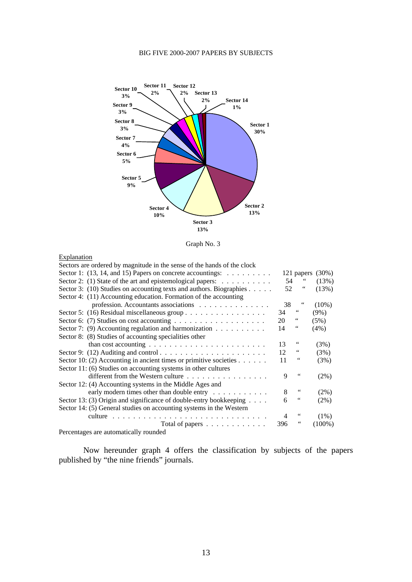### BIG FIVE 2000-2007 PAPERS BY SUBJECTS





### **Explanation**

| Sectors are ordered by magnitude in the sense of the hands of the clock        |     |            |          |
|--------------------------------------------------------------------------------|-----|------------|----------|
| Sector 1: $(13, 14, and 15)$ Papers on concrete accountings:                   |     | 121 papers | $(30\%)$ |
| Sector 2: (1) State of the art and epistemological papers: $\dots \dots \dots$ | 54  |            | (13%)    |
| Sector 3: (10) Studies on accounting texts and authors. Biographies            | 52  | 66         | (13%)    |
| Sector 4: (11) Accounting education. Formation of the accounting               |     |            |          |
| profession. Accountants associations                                           | 38  | 66         | $(10\%)$ |
| Sector 5: (16) Residual miscellaneous group                                    | 34  | 66         | $(9\%)$  |
|                                                                                | 20  | 66         | (5%)     |
| Sector 7: (9) Accounting regulation and harmonization $\dots \dots \dots$      | 14  | 66         | $(4\%)$  |
| Sector 8: (8) Studies of accounting specialities other                         |     |            |          |
| than cost accounting $\ldots \ldots \ldots \ldots \ldots \ldots \ldots$        | 13  | 66         | (3%)     |
|                                                                                | 12  | 66         | (3%)     |
| Sector 10: (2) Accounting in ancient times or primitive societies              | 11  | 66         | (3%)     |
| Sector 11: (6) Studies on accounting systems in other cultures                 |     |            |          |
| different from the Western culture                                             | 9   | 66         | $(2\%)$  |
| Sector 12: (4) Accounting systems in the Middle Ages and                       |     |            |          |
| early modern times other than double entry $\dots \dots \dots$                 | 8   | 66         | (2%)     |
| Sector 13: (3) Origin and significance of double-entry bookkeeping $\dots$ .   | 6   | 66         | $(2\%)$  |
| Sector 14: (5) General studies on accounting systems in the Western            |     |            |          |
| culture                                                                        | 4   | 66         | (1%)     |
| Total of papers                                                                | 396 | 66         | (100%)   |
| Demantages are automotically rounded                                           |     |            |          |

Percentages are automatically rounded

Now hereunder graph 4 offers the classification by subjects of the papers published by "the nine friends" journals.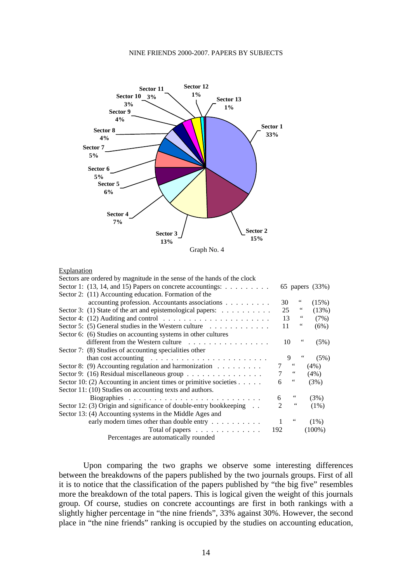#### NINE FRIENDS 2000-2007. PAPERS BY SUBJECTS



#### **Explanation**

| Sectors are ordered by magnitude in the sense of the hands of the clock               |     |                         |    |                 |
|---------------------------------------------------------------------------------------|-----|-------------------------|----|-----------------|
| Sector 1: $(13, 14, and 15)$ Papers on concrete accountings:                          |     |                         |    | 65 papers (33%) |
| Sector 2: (11) Accounting education. Formation of the                                 |     |                         |    |                 |
| accounting profession. Accountants associations                                       |     | 30                      | 66 | (15%)           |
| Sector 3: (1) State of the art and epistemological papers:                            |     | 25                      | 66 | (13%)           |
| Sector 4: (12) Auditing and control $\dots \dots \dots \dots \dots \dots \dots \dots$ |     | 13                      | 66 | (7%)            |
| Sector 5: (5) General studies in the Western culture $\dots \dots \dots \dots$        |     | 11                      | 66 | (6%)            |
| Sector 6: (6) Studies on accounting systems in other cultures                         |     |                         |    |                 |
| different from the Western culture                                                    |     | 10                      | 66 | (5%)            |
| Sector 7: (8) Studies of accounting specialities other                                |     |                         |    |                 |
| than cost accounting $\ldots \ldots \ldots \ldots \ldots \ldots \ldots$               |     | 9                       |    | (5%)            |
| Sector 8: (9) Accounting regulation and harmonization $\dots \dots$                   |     | 66                      |    | $(4\%)$         |
| Sector 9: (16) Residual miscellaneous group                                           |     | 66                      |    | (4%)            |
| Sector 10: (2) Accounting in ancient times or primitive societies $\dots$ .           | 6   | $\,$ 6 6 $\,$           |    | (3%)            |
| Sector 11: (10) Studies on accounting texts and authors.                              |     |                         |    |                 |
|                                                                                       | 6   | $\ddot{\phantom{0}}$    |    | (3%)            |
| Sector 12: (3) Origin and significance of double-entry bookkeeping                    |     | $\,$ 6 $\,$             |    | $(1\%)$         |
| Sector 13: (4) Accounting systems in the Middle Ages and                              |     |                         |    |                 |
| early modern times other than double entry                                            |     | $\boldsymbol{\epsilon}$ |    | $(1\%)$         |
| Total of papers $\dots \dots \dots \dots$                                             | 192 |                         |    | $(100\%)$       |
| Percentages are automatically rounded                                                 |     |                         |    |                 |

Upon comparing the two graphs we observe some interesting differences between the breakdowns of the papers published by the two journals groups. First of all it is to notice that the classification of the papers published by "the big five" resembles more the breakdown of the total papers. This is logical given the weight of this journals group. Of course, studies on concrete accountings are first in both rankings with a slightly higher percentage in "the nine friends", 33% against 30%. However, the second place in "the nine friends" ranking is occupied by the studies on accounting education,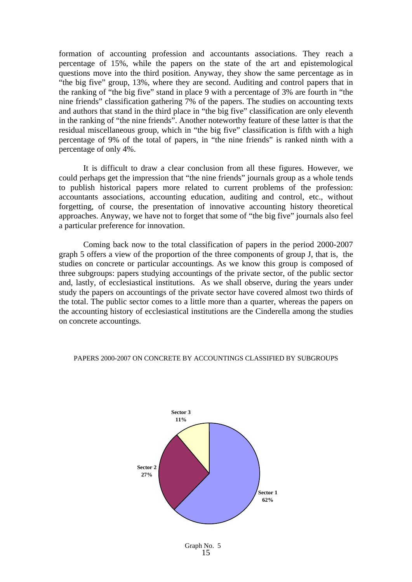formation of accounting profession and accountants associations. They reach a percentage of 15%, while the papers on the state of the art and epistemological questions move into the third position. Anyway, they show the same percentage as in "the big five" group, 13%, where they are second. Auditing and control papers that in the ranking of "the big five" stand in place 9 with a percentage of 3% are fourth in "the nine friends" classification gathering 7% of the papers. The studies on accounting texts and authors that stand in the third place in "the big five" classification are only eleventh in the ranking of "the nine friends". Another noteworthy feature of these latter is that the residual miscellaneous group, which in "the big five" classification is fifth with a high percentage of 9% of the total of papers, in "the nine friends" is ranked ninth with a percentage of only 4%.

It is difficult to draw a clear conclusion from all these figures. However, we could perhaps get the impression that "the nine friends" journals group as a whole tends to publish historical papers more related to current problems of the profession: accountants associations, accounting education, auditing and control, etc., without forgetting, of course, the presentation of innovative accounting history theoretical approaches. Anyway, we have not to forget that some of "the big five" journals also feel a particular preference for innovation.

Coming back now to the total classification of papers in the period 2000-2007 graph 5 offers a view of the proportion of the three components of group J, that is, the studies on concrete or particular accountings. As we know this group is composed of three subgroups: papers studying accountings of the private sector, of the public sector and, lastly, of ecclesiastical institutions. As we shall observe, during the years under study the papers on accountings of the private sector have covered almost two thirds of the total. The public sector comes to a little more than a quarter, whereas the papers on the accounting history of ecclesiastical institutions are the Cinderella among the studies on concrete accountings.



### PAPERS 2000-2007 ON CONCRETE BY ACCOUNTINGS CLASSIFIED BY SUBGROUPS

15 Graph No. 5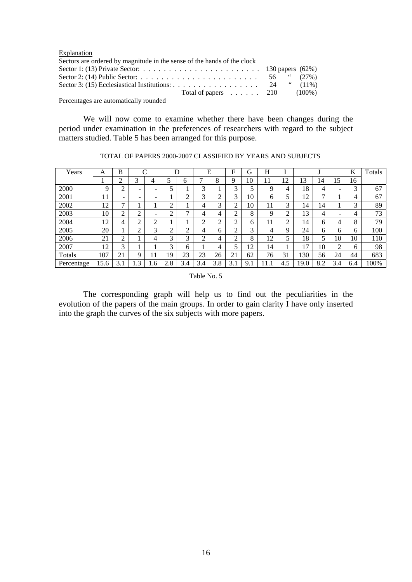| Explanation                                                                                                                     |  |  |
|---------------------------------------------------------------------------------------------------------------------------------|--|--|
| Sectors are ordered by magnitude in the sense of the hands of the clock                                                         |  |  |
|                                                                                                                                 |  |  |
|                                                                                                                                 |  |  |
| Sector 3: (15) Ecclesiastical Institutions: 24 $\quad$ (11%)                                                                    |  |  |
| Total of papers $\ldots$ 210 (100%)                                                                                             |  |  |
| $\mathbf{D}$ . The contract of the contract of $\mathbf{I}$ and $\mathbf{I}$ and $\mathbf{I}$ and $\mathbf{I}$ and $\mathbf{I}$ |  |  |

Percentages are automatically rounded

We will now come to examine whether there have been changes during the period under examination in the preferences of researchers with regard to the subject matters studied. Table 5 has been arranged for this purpose.

| Years      | А    | B   |           | ⌒                        | D      |     | E   |     | F      | G   | Н  |        |      |     |                          | K   | Totals |
|------------|------|-----|-----------|--------------------------|--------|-----|-----|-----|--------|-----|----|--------|------|-----|--------------------------|-----|--------|
|            |      | ◠   | 3         | 4                        |        | h   |     | 8   | 9      | 10  | 11 | 12     | 13   | 14  | 15                       | 16  |        |
| 2000       | Q    | ◠   | -         | $\overline{\phantom{0}}$ | 5      |     | 3   |     | 3      | 5   | Q  | 4      | 18   | 4   | $\overline{\phantom{a}}$ | 3   | 67     |
| 2001       | 11   | -   | -         | $\overline{\phantom{a}}$ |        | ◠   | 3   | ◠   | 3      | 10  | 6  | 5      | 12   | ⇁   |                          | 4   | 67     |
| 2002       | 12   | ⇁   |           |                          | ◠<br>∠ |     | 4   | 3   | ↑      | 10  | 11 | 3      | 14   | 14  |                          | 3   | 89     |
| 2003       | 10   | ◠   | ◠         | ۰                        | ∍      |     | 4   | 4   | ◠      | 8   | 9  | ↑<br>∠ | 13   | 4   | $\overline{\phantom{0}}$ | 4   | 73     |
| 2004       | 12   | 4   | ◠         | ◠<br>∠                   |        |     | ◠   | ◠   | ◠<br>∠ | 6   | 11 | റ<br>∠ | 14   | 6   | 4                        | 8   | 79     |
| 2005       | 20   |     | ◠         | 3                        | ↑<br>∠ | ◠   | 4   | h.  | ◠      | 3   | 4  | 9      | 24   | 6   | 6                        | 6   | 100    |
| 2006       | 21   | ◠   |           | 4                        | 3      | 3   | ◠   | 4   | ◠      | 8   | 12 | 5      | 18   | 5   | 10                       | 10  | 110    |
| 2007       | 12   | 3   |           |                          | 3      | 6   |     | 4   | 5      | 2   | 14 |        | 17   | 10  | $\gamma$<br>∠            | 6   | 98     |
| Totals     | 107  | 21  | Q         |                          | 19     | 23  | 23  | 26  | 21     | 62  | 76 | 31     | 30   | 56  | 24                       | 44  | 683    |
| Percentage | 15.6 | 3.1 | $\cdot^3$ | .6                       | 2.8    | 3.4 | 3.4 | 3.8 | 3.1    | 9.1 |    | 4.5    | 19.0 | 8.2 | 3.4                      | 6.4 | 100%   |

TOTAL OF PAPERS 2000-2007 CLASSIFIED BY YEARS AND SUBJECTS

Table No. 5

The corresponding graph will help us to find out the peculiarities in the evolution of the papers of the main groups. In order to gain clarity I have only inserted into the graph the curves of the six subjects with more papers.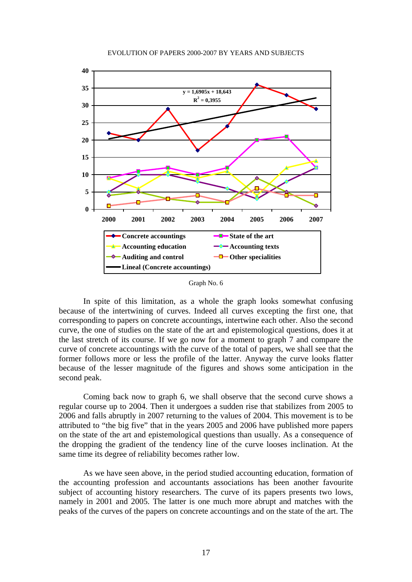

#### EVOLUTION OF PAPERS 2000-2007 BY YEARS AND SUBJECTS

Graph No. 6

 In spite of this limitation, as a whole the graph looks somewhat confusing because of the intertwining of curves. Indeed all curves excepting the first one, that corresponding to papers on concrete accountings, intertwine each other. Also the second curve, the one of studies on the state of the art and epistemological questions, does it at the last stretch of its course. If we go now for a moment to graph 7 and compare the curve of concrete accountings with the curve of the total of papers, we shall see that the former follows more or less the profile of the latter. Anyway the curve looks flatter because of the lesser magnitude of the figures and shows some anticipation in the second peak.

 Coming back now to graph 6, we shall observe that the second curve shows a regular course up to 2004. Then it undergoes a sudden rise that stabilizes from 2005 to 2006 and falls abruptly in 2007 returning to the values of 2004. This movement is to be attributed to "the big five" that in the years 2005 and 2006 have published more papers on the state of the art and epistemological questions than usually. As a consequence of the dropping the gradient of the tendency line of the curve looses inclination. At the same time its degree of reliability becomes rather low.

 As we have seen above, in the period studied accounting education, formation of the accounting profession and accountants associations has been another favourite subject of accounting history researchers. The curve of its papers presents two lows, namely in 2001 and 2005. The latter is one much more abrupt and matches with the peaks of the curves of the papers on concrete accountings and on the state of the art. The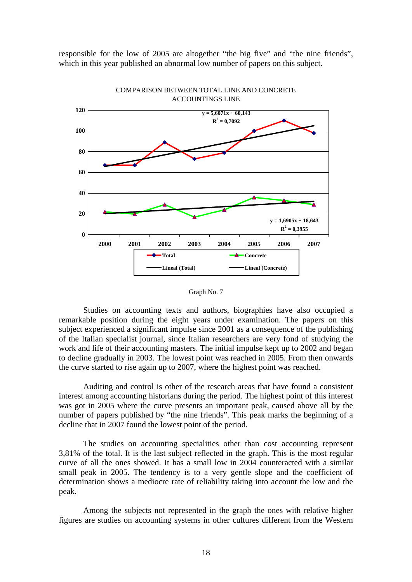responsible for the low of 2005 are altogether "the big five" and "the nine friends", which in this year published an abnormal low number of papers on this subject.





 Studies on accounting texts and authors, biographies have also occupied a remarkable position during the eight years under examination. The papers on this subject experienced a significant impulse since 2001 as a consequence of the publishing of the Italian specialist journal, since Italian researchers are very fond of studying the work and life of their accounting masters. The initial impulse kept up to 2002 and began to decline gradually in 2003. The lowest point was reached in 2005. From then onwards the curve started to rise again up to 2007, where the highest point was reached.

 Auditing and control is other of the research areas that have found a consistent interest among accounting historians during the period. The highest point of this interest was got in 2005 where the curve presents an important peak, caused above all by the number of papers published by "the nine friends". This peak marks the beginning of a decline that in 2007 found the lowest point of the period.

 The studies on accounting specialities other than cost accounting represent 3,81% of the total. It is the last subject reflected in the graph. This is the most regular curve of all the ones showed. It has a small low in 2004 counteracted with a similar small peak in 2005. The tendency is to a very gentle slope and the coefficient of determination shows a mediocre rate of reliability taking into account the low and the peak.

 Among the subjects not represented in the graph the ones with relative higher figures are studies on accounting systems in other cultures different from the Western

Graph No. 7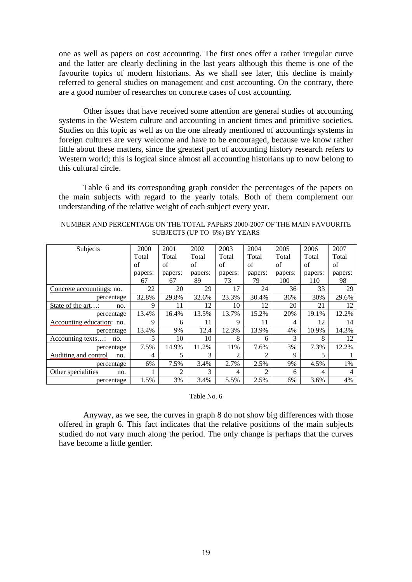one as well as papers on cost accounting. The first ones offer a rather irregular curve and the latter are clearly declining in the last years although this theme is one of the favourite topics of modern historians. As we shall see later, this decline is mainly referred to general studies on management and cost accounting. On the contrary, there are a good number of researches on concrete cases of cost accounting.

 Other issues that have received some attention are general studies of accounting systems in the Western culture and accounting in ancient times and primitive societies. Studies on this topic as well as on the one already mentioned of accountings systems in foreign cultures are very welcome and have to be encouraged, because we know rather little about these matters, since the greatest part of accounting history research refers to Western world; this is logical since almost all accounting historians up to now belong to this cultural circle.

 Table 6 and its corresponding graph consider the percentages of the papers on the main subjects with regard to the yearly totals. Both of them complement our understanding of the relative weight of each subject every year.

| Subjects                    | 2000    | 2001    | 2002    | 2003    | 2004    | 2005    | 2006    | 2007    |
|-----------------------------|---------|---------|---------|---------|---------|---------|---------|---------|
|                             | Total   | Total   | Total   | Total   | Total   | Total   | Total   | Total   |
|                             | of      | of      | of      | of      | of      | of      | of      | of      |
|                             | papers: | papers: | papers: | papers: | papers: | papers: | papers: | papers: |
|                             | 67      | 67      | 89      | 73      | 79      | 100     | 110     | 98      |
| Concrete accountings: no.   | 22      | 20      | 29      | 17      | 24      | 36      | 33      | 29      |
| percentage                  | 32.8%   | 29.8%   | 32.6%   | 23.3%   | 30.4%   | 36%     | 30%     | 29.6%   |
| State of the art:<br>no.    | 9       | 11      | 12      | 10      | 12      | 20      | 21      | 12      |
| percentage                  | 13.4%   | 16.4%   | 13.5%   | 13.7%   | 15.2%   | 20%     | 19.1%   | 12.2%   |
| Accounting education: no.   | 9       | 6       | 11      | 9       | 11      | 4       | 12      | 14      |
| percentage                  | 13.4%   | 9%      | 12.4    | 12.3%   | 13.9%   | 4%      | 10.9%   | 14.3%   |
| Accounting texts:<br>no.    | 5       | 10      | 10      | 8       | 6       | 3       | 8       | 12      |
| percentage                  | 7.5%    | 14.9%   | 11.2%   | 11%     | 7.6%    | 3%      | 7.3%    | 12.2%   |
| Auditing and control<br>no. | 4       | 5       | 3       | 2       | 2       | 9       | 5       |         |
| percentage                  | 6%      | 7.5%    | 3.4%    | 2.7%    | 2.5%    | 9%      | 4.5%    | 1%      |
| Other specialities<br>no.   |         | 2       | 3       | 4       | 2       | 6       | 4       | 4       |
| percentage                  | 1.5%    | 3%      | 3.4%    | 5.5%    | 2.5%    | 6%      | 3.6%    | 4%      |

NUMBER AND PERCENTAGE ON THE TOTAL PAPERS 2000-2007 OF THE MAIN FAVOURITE SUBJECTS (UP TO 6%) BY YEARS

### Table No. 6

 Anyway, as we see, the curves in graph 8 do not show big differences with those offered in graph 6. This fact indicates that the relative positions of the main subjects studied do not vary much along the period. The only change is perhaps that the curves have become a little gentler.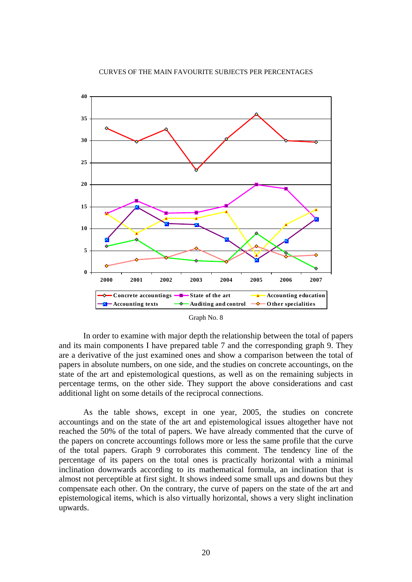



Graph No. 8

In order to examine with major depth the relationship between the total of papers and its main components I have prepared table 7 and the corresponding graph 9. They are a derivative of the just examined ones and show a comparison between the total of papers in absolute numbers, on one side, and the studies on concrete accountings, on the state of the art and epistemological questions, as well as on the remaining subjects in percentage terms, on the other side. They support the above considerations and cast additional light on some details of the reciprocal connections.

As the table shows, except in one year, 2005, the studies on concrete accountings and on the state of the art and epistemological issues altogether have not reached the 50% of the total of papers. We have already commented that the curve of the papers on concrete accountings follows more or less the same profile that the curve of the total papers. Graph 9 corroborates this comment. The tendency line of the percentage of its papers on the total ones is practically horizontal with a minimal inclination downwards according to its mathematical formula, an inclination that is almost not perceptible at first sight. It shows indeed some small ups and downs but they compensate each other. On the contrary, the curve of papers on the state of the art and epistemological items, which is also virtually horizontal, shows a very slight inclination upwards.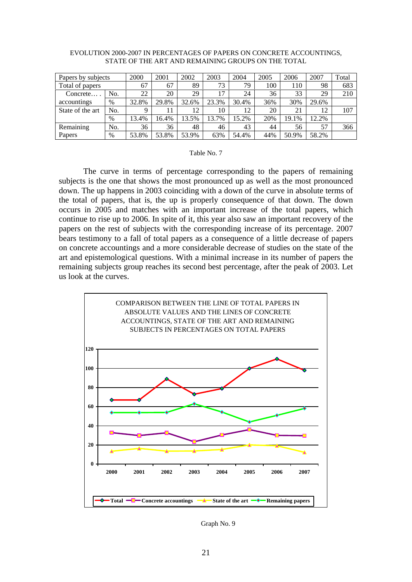| Papers by subjects |      | 2000  | 2001  | 2002  | 2003  | 2004  | 2005 | 2006  | 2007  | Total |
|--------------------|------|-------|-------|-------|-------|-------|------|-------|-------|-------|
| Total of papers    |      | 67    | 67    | 89    | 73    | 79    | 100  | 110   | 98    | 683   |
| Concrete           | No.  | 22    | 20    | 29    | 17    | 24    | 36   | 33    | 29    | 210   |
| accountings        | $\%$ | 32.8% | 29.8% | 32.6% | 23.3% | 30.4% | 36%  | 30%   | 29.6% |       |
| State of the art   | No.  | 9     | 11    | 12    | 10    | 12    | 20   | 21    | 12    | 107   |
|                    | %    | 13.4% | 16.4% | 13.5% | 13.7% | 15.2% | 20%  | 19.1% | 12.2% |       |
| Remaining          | No.  | 36    | 36    | 48    | 46    | 43    | 44   | 56    | 57    | 366   |
| Papers             | $\%$ | 53.8% | 53.8% | 53.9% | 63%   | 54.4% | 44%  | 50.9% | 58.2% |       |

#### EVOLUTION 2000-2007 IN PERCENTAGES OF PAPERS ON CONCRETE ACCOUNTINGS, STATE OF THE ART AND REMAINING GROUPS ON THE TOTAL

#### Table No. 7

The curve in terms of percentage corresponding to the papers of remaining subjects is the one that shows the most pronounced up as well as the most pronounced down. The up happens in 2003 coinciding with a down of the curve in absolute terms of the total of papers, that is, the up is properly consequence of that down. The down occurs in 2005 and matches with an important increase of the total papers, which continue to rise up to 2006. In spite of it, this year also saw an important recovery of the papers on the rest of subjects with the corresponding increase of its percentage. 2007 bears testimony to a fall of total papers as a consequence of a little decrease of papers on concrete accountings and a more considerable decrease of studies on the state of the art and epistemological questions. With a minimal increase in its number of papers the remaining subjects group reaches its second best percentage, after the peak of 2003. Let us look at the curves.



Graph No. 9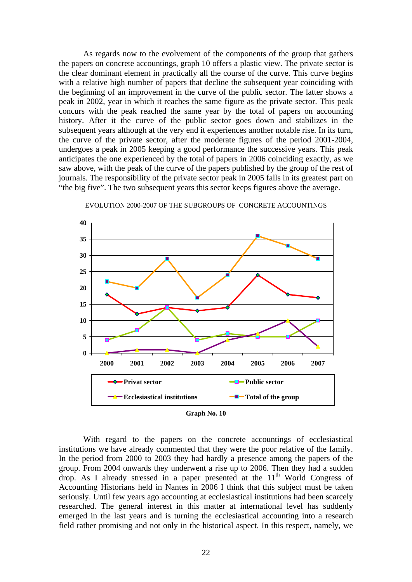As regards now to the evolvement of the components of the group that gathers the papers on concrete accountings, graph 10 offers a plastic view. The private sector is the clear dominant element in practically all the course of the curve. This curve begins with a relative high number of papers that decline the subsequent year coinciding with the beginning of an improvement in the curve of the public sector. The latter shows a peak in 2002, year in which it reaches the same figure as the private sector. This peak concurs with the peak reached the same year by the total of papers on accounting history. After it the curve of the public sector goes down and stabilizes in the subsequent years although at the very end it experiences another notable rise. In its turn, the curve of the private sector, after the moderate figures of the period 2001-2004, undergoes a peak in 2005 keeping a good performance the successive years. This peak anticipates the one experienced by the total of papers in 2006 coinciding exactly, as we saw above, with the peak of the curve of the papers published by the group of the rest of journals. The responsibility of the private sector peak in 2005 falls in its greatest part on "the big five". The two subsequent years this sector keeps figures above the average.



EVOLUTION 2000-2007 OF THE SUBGROUPS OF CONCRETE ACCOUNTINGS



With regard to the papers on the concrete accountings of ecclesiastical institutions we have already commented that they were the poor relative of the family. In the period from 2000 to 2003 they had hardly a presence among the papers of the group. From 2004 onwards they underwent a rise up to 2006. Then they had a sudden drop. As I already stressed in a paper presented at the  $11<sup>th</sup>$  World Congress of Accounting Historians held in Nantes in 2006 I think that this subject must be taken seriously. Until few years ago accounting at ecclesiastical institutions had been scarcely researched. The general interest in this matter at international level has suddenly emerged in the last years and is turning the ecclesiastical accounting into a research field rather promising and not only in the historical aspect. In this respect, namely, we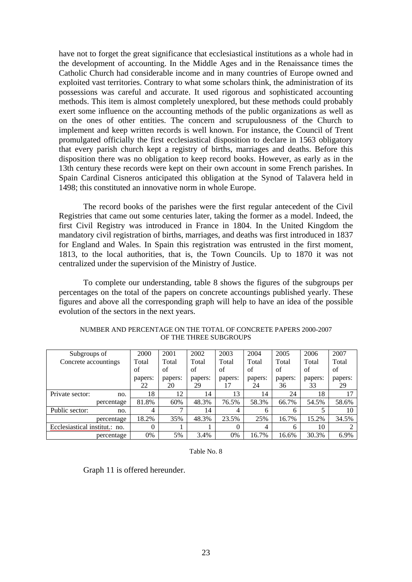have not to forget the great significance that ecclesiastical institutions as a whole had in the development of accounting. In the Middle Ages and in the Renaissance times the Catholic Church had considerable income and in many countries of Europe owned and exploited vast territories. Contrary to what some scholars think, the administration of its possessions was careful and accurate. It used rigorous and sophisticated accounting methods. This item is almost completely unexplored, but these methods could probably exert some influence on the accounting methods of the public organizations as well as on the ones of other entities. The concern and scrupulousness of the Church to implement and keep written records is well known. For instance, the Council of Trent promulgated officially the first ecclesiastical disposition to declare in 1563 obligatory that every parish church kept a registry of births, marriages and deaths. Before this disposition there was no obligation to keep record books. However, as early as in the 13th century these records were kept on their own account in some French parishes. In Spain Cardinal Cisneros anticipated this obligation at the Synod of Talavera held in 1498; this constituted an innovative norm in whole Europe.

The record books of the parishes were the first regular antecedent of the Civil Registries that came out some centuries later, taking the former as a model. Indeed, the first Civil Registry was introduced in France in 1804. In the United Kingdom the mandatory civil registration of births, marriages, and deaths was first introduced in 1837 for England and Wales. In Spain this registration was entrusted in the first moment, 1813, to the local authorities, that is, the Town Councils. Up to 1870 it was not centralized under the supervision of the Ministry of Justice.

To complete our understanding, table 8 shows the figures of the subgroups per percentages on the total of the papers on concrete accountings published yearly. These figures and above all the corresponding graph will help to have an idea of the possible evolution of the sectors in the next years.

| Subgroups of                  |            | 2000    | 2001         | 2002    | 2003           | 2004    | 2005    | 2006    | 2007    |
|-------------------------------|------------|---------|--------------|---------|----------------|---------|---------|---------|---------|
| Concrete accountings          |            | Total   | Total        | Total   | Total          | Total   | Total   | Total   | Total   |
|                               |            | of      | of           | of      | of             | of      | of      | of      | of      |
|                               |            | papers: | papers:      | papers: | papers:        | papers: | papers: | papers: | papers: |
|                               |            | 22      | 20           | 29      | 17             | 24      | 36      | 33      | 29      |
| Private sector:               | no.        | 18      | 12           | 14      | 13             | 14      | 24      | 18      | ۱7      |
|                               | percentage | 81.8%   | 60%          | 48.3%   | 76.5%          | 58.3%   | 66.7%   | 54.5%   | 58.6%   |
| Public sector:                | no.        | 4       | $\mathbf{r}$ | 14      | $\overline{4}$ | 6       | h.      |         | 10      |
|                               | percentage | 18.2%   | 35%          | 48.3%   | 23.5%          | 25%     | 16.7%   | 15.2%   | 34.5%   |
| Ecclesiastical institut.: no. |            | 0       |              |         | $\Omega$       | 4       | 6       | 10      |         |
|                               | percentage | 0%      | 5%           | 3.4%    | 0%             | 16.7%   | 16.6%   | 30.3%   | 6.9%    |

NUMBER AND PERCENTAGE ON THE TOTAL OF CONCRETE PAPERS 2000-2007 OF THE THREE SUBGROUPS

Table No. 8

Graph 11 is offered hereunder.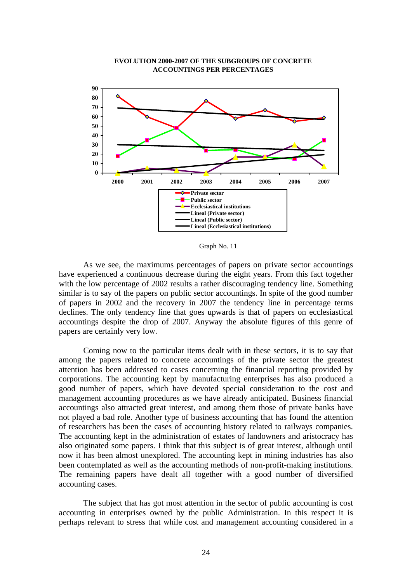

## **EVOLUTION 2000-2007 OF THE SUBGROUPS OF CONCRETE ACCOUNTINGS PER PERCENTAGES**

Graph No. 11

As we see, the maximums percentages of papers on private sector accountings have experienced a continuous decrease during the eight years. From this fact together with the low percentage of 2002 results a rather discouraging tendency line. Something similar is to say of the papers on public sector accountings. In spite of the good number of papers in 2002 and the recovery in 2007 the tendency line in percentage terms declines. The only tendency line that goes upwards is that of papers on ecclesiastical accountings despite the drop of 2007. Anyway the absolute figures of this genre of papers are certainly very low.

Coming now to the particular items dealt with in these sectors, it is to say that among the papers related to concrete accountings of the private sector the greatest attention has been addressed to cases concerning the financial reporting provided by corporations. The accounting kept by manufacturing enterprises has also produced a good number of papers, which have devoted special consideration to the cost and management accounting procedures as we have already anticipated. Business financial accountings also attracted great interest, and among them those of private banks have not played a bad role. Another type of business accounting that has found the attention of researchers has been the cases of accounting history related to railways companies. The accounting kept in the administration of estates of landowners and aristocracy has also originated some papers. I think that this subject is of great interest, although until now it has been almost unexplored. The accounting kept in mining industries has also been contemplated as well as the accounting methods of non-profit-making institutions. The remaining papers have dealt all together with a good number of diversified accounting cases.

 The subject that has got most attention in the sector of public accounting is cost accounting in enterprises owned by the public Administration. In this respect it is perhaps relevant to stress that while cost and management accounting considered in a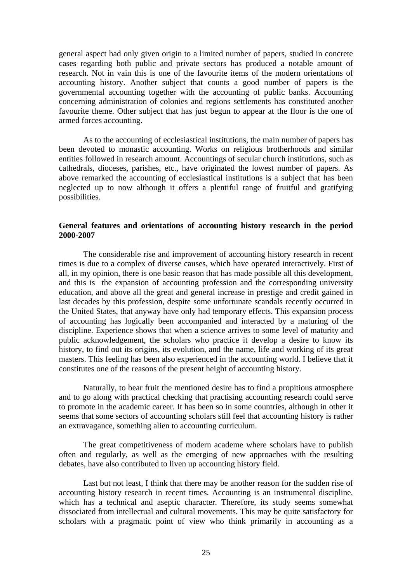general aspect had only given origin to a limited number of papers, studied in concrete cases regarding both public and private sectors has produced a notable amount of research. Not in vain this is one of the favourite items of the modern orientations of accounting history. Another subject that counts a good number of papers is the governmental accounting together with the accounting of public banks. Accounting concerning administration of colonies and regions settlements has constituted another favourite theme. Other subject that has just begun to appear at the floor is the one of armed forces accounting.

 As to the accounting of ecclesiastical institutions, the main number of papers has been devoted to monastic accounting. Works on religious brotherhoods and similar entities followed in research amount. Accountings of secular church institutions, such as cathedrals, dioceses, parishes, etc., have originated the lowest number of papers. As above remarked the accounting of ecclesiastical institutions is a subject that has been neglected up to now although it offers a plentiful range of fruitful and gratifying possibilities.

# **General features and orientations of accounting history research in the period 2000-2007**

 The considerable rise and improvement of accounting history research in recent times is due to a complex of diverse causes, which have operated interactively. First of all, in my opinion, there is one basic reason that has made possible all this development, and this is the expansion of accounting profession and the corresponding university education, and above all the great and general increase in prestige and credit gained in last decades by this profession, despite some unfortunate scandals recently occurred in the United States, that anyway have only had temporary effects. This expansion process of accounting has logically been accompanied and interacted by a maturing of the discipline. Experience shows that when a science arrives to some level of maturity and public acknowledgement, the scholars who practice it develop a desire to know its history, to find out its origins, its evolution, and the name, life and working of its great masters. This feeling has been also experienced in the accounting world. I believe that it constitutes one of the reasons of the present height of accounting history.

 Naturally, to bear fruit the mentioned desire has to find a propitious atmosphere and to go along with practical checking that practising accounting research could serve to promote in the academic career. It has been so in some countries, although in other it seems that some sectors of accounting scholars still feel that accounting history is rather an extravagance, something alien to accounting curriculum.

 The great competitiveness of modern academe where scholars have to publish often and regularly, as well as the emerging of new approaches with the resulting debates, have also contributed to liven up accounting history field.

 Last but not least, I think that there may be another reason for the sudden rise of accounting history research in recent times. Accounting is an instrumental discipline, which has a technical and aseptic character. Therefore, its study seems somewhat dissociated from intellectual and cultural movements. This may be quite satisfactory for scholars with a pragmatic point of view who think primarily in accounting as a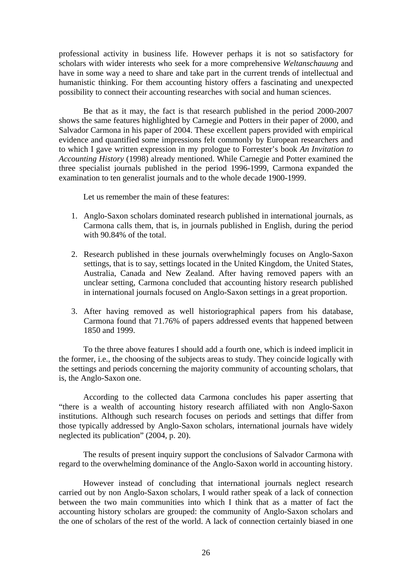professional activity in business life. However perhaps it is not so satisfactory for scholars with wider interests who seek for a more comprehensive *Weltanschauung* and have in some way a need to share and take part in the current trends of intellectual and humanistic thinking. For them accounting history offers a fascinating and unexpected possibility to connect their accounting researches with social and human sciences.

 Be that as it may, the fact is that research published in the period 2000-2007 shows the same features highlighted by Carnegie and Potters in their paper of 2000, and Salvador Carmona in his paper of 2004. These excellent papers provided with empirical evidence and quantified some impressions felt commonly by European researchers and to which I gave written expression in my prologue to Forrester's book *An Invitation to Accounting History* (1998) already mentioned. While Carnegie and Potter examined the three specialist journals published in the period 1996-1999, Carmona expanded the examination to ten generalist journals and to the whole decade 1900-1999.

Let us remember the main of these features:

- 1. Anglo-Saxon scholars dominated research published in international journals, as Carmona calls them, that is, in journals published in English, during the period with 90.84% of the total.
- 2. Research published in these journals overwhelmingly focuses on Anglo-Saxon settings, that is to say, settings located in the United Kingdom, the United States, Australia, Canada and New Zealand. After having removed papers with an unclear setting, Carmona concluded that accounting history research published in international journals focused on Anglo-Saxon settings in a great proportion.
- 3. After having removed as well historiographical papers from his database, Carmona found that 71.76% of papers addressed events that happened between 1850 and 1999.

To the three above features I should add a fourth one, which is indeed implicit in the former, i.e., the choosing of the subjects areas to study. They coincide logically with the settings and periods concerning the majority community of accounting scholars, that is, the Anglo-Saxon one.

According to the collected data Carmona concludes his paper asserting that "there is a wealth of accounting history research affiliated with non Anglo-Saxon institutions. Although such research focuses on periods and settings that differ from those typically addressed by Anglo-Saxon scholars, international journals have widely neglected its publication" (2004, p. 20).

The results of present inquiry support the conclusions of Salvador Carmona with regard to the overwhelming dominance of the Anglo-Saxon world in accounting history.

However instead of concluding that international journals neglect research carried out by non Anglo-Saxon scholars, I would rather speak of a lack of connection between the two main communities into which I think that as a matter of fact the accounting history scholars are grouped: the community of Anglo-Saxon scholars and the one of scholars of the rest of the world. A lack of connection certainly biased in one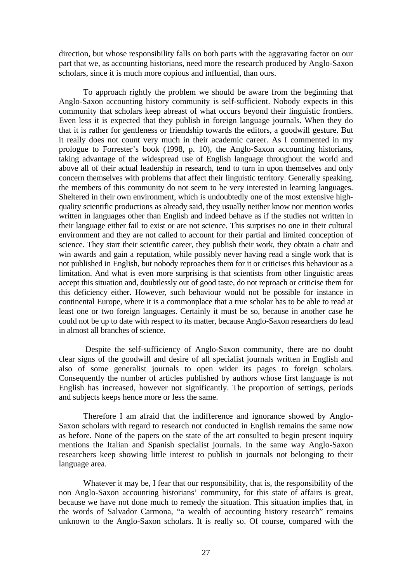direction, but whose responsibility falls on both parts with the aggravating factor on our part that we, as accounting historians, need more the research produced by Anglo-Saxon scholars, since it is much more copious and influential, than ours.

To approach rightly the problem we should be aware from the beginning that Anglo-Saxon accounting history community is self-sufficient. Nobody expects in this community that scholars keep abreast of what occurs beyond their linguistic frontiers. Even less it is expected that they publish in foreign language journals. When they do that it is rather for gentleness or friendship towards the editors, a goodwill gesture. But it really does not count very much in their academic career. As I commented in my prologue to Forrester's book (1998, p. 10), the Anglo-Saxon accounting historians, taking advantage of the widespread use of English language throughout the world and above all of their actual leadership in research, tend to turn in upon themselves and only concern themselves with problems that affect their linguistic territory. Generally speaking, the members of this community do not seem to be very interested in learning languages. Sheltered in their own environment, which is undoubtedly one of the most extensive highquality scientific productions as already said, they usually neither know nor mention works written in languages other than English and indeed behave as if the studies not written in their language either fail to exist or are not science. This surprises no one in their cultural environment and they are not called to account for their partial and limited conception of science. They start their scientific career, they publish their work, they obtain a chair and win awards and gain a reputation, while possibly never having read a single work that is not published in English, but nobody reproaches them for it or criticises this behaviour as a limitation. And what is even more surprising is that scientists from other linguistic areas accept this situation and, doubtlessly out of good taste, do not reproach or criticise them for this deficiency either. However, such behaviour would not be possible for instance in continental Europe, where it is a commonplace that a true scholar has to be able to read at least one or two foreign languages. Certainly it must be so, because in another case he could not be up to date with respect to its matter, because Anglo-Saxon researchers do lead in almost all branches of science.

 Despite the self-sufficiency of Anglo-Saxon community, there are no doubt clear signs of the goodwill and desire of all specialist journals written in English and also of some generalist journals to open wider its pages to foreign scholars. Consequently the number of articles published by authors whose first language is not English has increased, however not significantly. The proportion of settings, periods and subjects keeps hence more or less the same.

Therefore I am afraid that the indifference and ignorance showed by Anglo-Saxon scholars with regard to research not conducted in English remains the same now as before. None of the papers on the state of the art consulted to begin present inquiry mentions the Italian and Spanish specialist journals. In the same way Anglo-Saxon researchers keep showing little interest to publish in journals not belonging to their language area.

Whatever it may be, I fear that our responsibility, that is, the responsibility of the non Anglo-Saxon accounting historians' community, for this state of affairs is great, because we have not done much to remedy the situation. This situation implies that, in the words of Salvador Carmona, "a wealth of accounting history research" remains unknown to the Anglo-Saxon scholars. It is really so. Of course, compared with the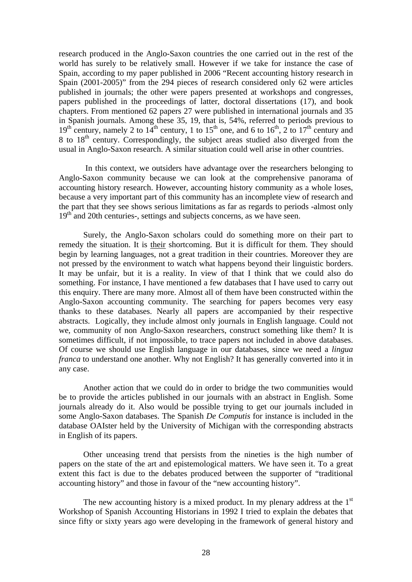research produced in the Anglo-Saxon countries the one carried out in the rest of the world has surely to be relatively small. However if we take for instance the case of Spain, according to my paper published in 2006 "Recent accounting history research in Spain (2001-2005)" from the 294 pieces of research considered only 62 were articles published in journals; the other were papers presented at workshops and congresses, papers published in the proceedings of latter, doctoral dissertations (17), and book chapters. From mentioned 62 papers 27 were published in international journals and 35 in Spanish journals. Among these 35, 19, that is, 54%, referred to periods previous to  $19<sup>th</sup>$  century, namely 2 to  $14<sup>th</sup>$  century, 1 to  $15<sup>th</sup>$  one, and 6 to  $16<sup>th</sup>$ , 2 to  $17<sup>th</sup>$  century and 8 to  $18<sup>th</sup>$  century. Correspondingly, the subject areas studied also diverged from the usual in Anglo-Saxon research. A similar situation could well arise in other countries.

 In this context, we outsiders have advantage over the researchers belonging to Anglo-Saxon community because we can look at the comprehensive panorama of accounting history research. However, accounting history community as a whole loses, because a very important part of this community has an incomplete view of research and the part that they see shows serious limitations as far as regards to periods -almost only  $19<sup>th</sup>$  and 20th centuries-, settings and subjects concerns, as we have seen.

Surely, the Anglo-Saxon scholars could do something more on their part to remedy the situation. It is their shortcoming. But it is difficult for them. They should begin by learning languages, not a great tradition in their countries. Moreover they are not pressed by the environment to watch what happens beyond their linguistic borders. It may be unfair, but it is a reality. In view of that I think that we could also do something. For instance, I have mentioned a few databases that I have used to carry out this enquiry. There are many more. Almost all of them have been constructed within the Anglo-Saxon accounting community. The searching for papers becomes very easy thanks to these databases. Nearly all papers are accompanied by their respective abstracts. Logically, they include almost only journals in English language. Could not we, community of non Anglo-Saxon researchers, construct something like them? It is sometimes difficult, if not impossible, to trace papers not included in above databases. Of course we should use English language in our databases, since we need a *lingua franca* to understand one another. Why not English? It has generally converted into it in any case.

Another action that we could do in order to bridge the two communities would be to provide the articles published in our journals with an abstract in English. Some journals already do it. Also would be possible trying to get our journals included in some Anglo-Saxon databases. The Spanish *De Computis* for instance is included in the database OAIster held by the University of Michigan with the corresponding abstracts in English of its papers.

Other unceasing trend that persists from the nineties is the high number of papers on the state of the art and epistemological matters. We have seen it. To a great extent this fact is due to the debates produced between the supporter of "traditional accounting history" and those in favour of the "new accounting history".

The new accounting history is a mixed product. In my plenary address at the  $1<sup>st</sup>$ Workshop of Spanish Accounting Historians in 1992 I tried to explain the debates that since fifty or sixty years ago were developing in the framework of general history and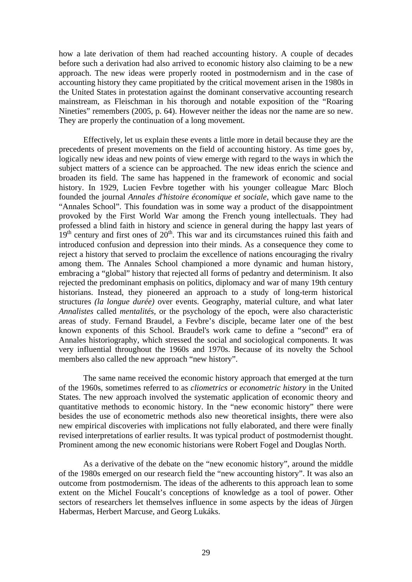how a late derivation of them had reached accounting history. A couple of decades before such a derivation had also arrived to economic history also claiming to be a new approach. The new ideas were properly rooted in postmodernism and in the case of accounting history they came propitiated by the critical movement arisen in the 1980s in the United States in protestation against the dominant conservative accounting research mainstream, as Fleischman in his thorough and notable exposition of the "Roaring Nineties" remembers (2005, p. 64). However neither the ideas nor the name are so new. They are properly the continuation of a long movement.

Effectively, let us explain these events a little more in detail because they are the precedents of present movements on the field of accounting history. As time goes by, logically new ideas and new points of view emerge with regard to the ways in which the subject matters of a science can be approached. The new ideas enrich the science and broaden its field. The same has happened in the framework of economic and social history. In 1929, Lucien Fevbre together with his younger colleague Marc Bloch founded the journal *Annales d'histoire économique et sociale*, which gave name to the "Annales School". This foundation was in some way a product of the disappointment provoked by the First World War among the French young intellectuals. They had professed a blind faith in history and science in general during the happy last years of  $19<sup>th</sup>$  century and first ones of  $20<sup>th</sup>$ . This war and its circumstances ruined this faith and introduced confusion and depression into their minds. As a consequence they come to reject a history that served to proclaim the excellence of nations encouraging the rivalry among them. The Annales School championed a more dynamic and human history, embracing a "global" history that rejected all forms of pedantry and determinism. It also rejected the predominant emphasis on politics, diplomacy and war of many 19th century historians. Instead, they pioneered an approach to a study of long-term historical structures *(la longue durée)* over events. Geography, material culture, and what later *Annalistes* called *mentalités,* or the psychology of the epoch, were also characteristic areas of study. Fernand Braudel, a Fevbre's disciple, became later one of the best known exponents of this School. Braudel's work came to define a "second" era of Annales historiography, which stressed the social and sociological components. It was very influential throughout the 1960s and 1970s. Because of its novelty the School members also called the new approach "new history".

The same name received the economic history approach that emerged at the turn of the 1960s, sometimes referred to as *cliometrics* or *econometric history* in the United States. The new approach involved the systematic application of economic theory and quantitative methods to economic history. In the "new economic history" there were besides the use of econometric methods also new theoretical insights, there were also new empirical discoveries with implications not fully elaborated, and there were finally revised interpretations of earlier results. It was typical product of postmodernist thought. Prominent among the new economic historians were Robert Fogel and Douglas North.

 As a derivative of the debate on the "new economic history", around the middle of the 1980s emerged on our research field the "new accounting history". It was also an outcome from postmodernism. The ideas of the adherents to this approach lean to some extent on the Michel Foucalt's conceptions of knowledge as a tool of power. Other sectors of researchers let themselves influence in some aspects by the ideas of Jürgen Habermas, Herbert Marcuse, and Georg Lukáks.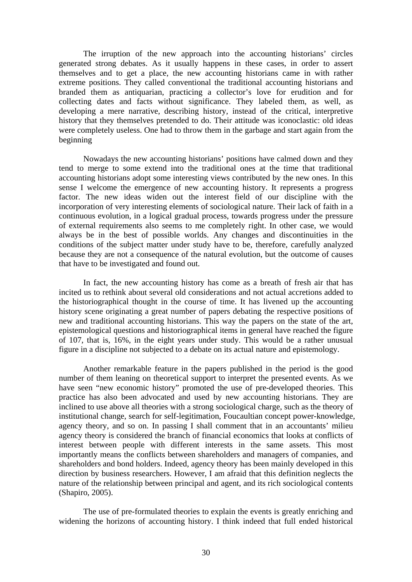The irruption of the new approach into the accounting historians' circles generated strong debates. As it usually happens in these cases, in order to assert themselves and to get a place, the new accounting historians came in with rather extreme positions. They called conventional the traditional accounting historians and branded them as antiquarian, practicing a collector's love for erudition and for collecting dates and facts without significance. They labeled them, as well, as developing a mere narrative, describing history, instead of the critical, interpretive history that they themselves pretended to do. Their attitude was iconoclastic: old ideas were completely useless. One had to throw them in the garbage and start again from the beginning

Nowadays the new accounting historians' positions have calmed down and they tend to merge to some extend into the traditional ones at the time that traditional accounting historians adopt some interesting views contributed by the new ones. In this sense I welcome the emergence of new accounting history. It represents a progress factor. The new ideas widen out the interest field of our discipline with the incorporation of very interesting elements of sociological nature. Their lack of faith in a continuous evolution, in a logical gradual process, towards progress under the pressure of external requirements also seems to me completely right. In other case, we would always be in the best of possible worlds. Any changes and discontinuities in the conditions of the subject matter under study have to be, therefore, carefully analyzed because they are not a consequence of the natural evolution, but the outcome of causes that have to be investigated and found out.

In fact, the new accounting history has come as a breath of fresh air that has incited us to rethink about several old considerations and not actual accretions added to the historiographical thought in the course of time. It has livened up the accounting history scene originating a great number of papers debating the respective positions of new and traditional accounting historians. This way the papers on the state of the art, epistemological questions and historiographical items in general have reached the figure of 107, that is, 16%, in the eight years under study. This would be a rather unusual figure in a discipline not subjected to a debate on its actual nature and epistemology.

Another remarkable feature in the papers published in the period is the good number of them leaning on theoretical support to interpret the presented events. As we have seen "new economic history" promoted the use of pre-developed theories. This practice has also been advocated and used by new accounting historians. They are inclined to use above all theories with a strong sociological charge, such as the theory of institutional change, search for self-legitimation, Foucaultian concept power-knowledge, agency theory, and so on. In passing I shall comment that in an accountants' milieu agency theory is considered the branch of financial economics that looks at conflicts of interest between people with different interests in the same assets. This most importantly means the conflicts between shareholders and managers of companies, and shareholders and bond holders. Indeed, agency theory has been mainly developed in this direction by business researchers. However, I am afraid that this definition neglects the nature of the relationship between principal and agent, and its rich sociological contents (Shapiro, 2005).

The use of pre-formulated theories to explain the events is greatly enriching and widening the horizons of accounting history. I think indeed that full ended historical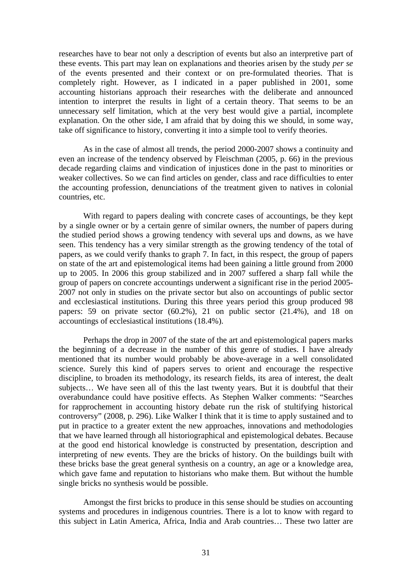researches have to bear not only a description of events but also an interpretive part of these events. This part may lean on explanations and theories arisen by the study *per se* of the events presented and their context or on pre-formulated theories. That is completely right. However, as I indicated in a paper published in 2001, some accounting historians approach their researches with the deliberate and announced intention to interpret the results in light of a certain theory. That seems to be an unnecessary self limitation, which at the very best would give a partial, incomplete explanation. On the other side, I am afraid that by doing this we should, in some way, take off significance to history, converting it into a simple tool to verify theories.

As in the case of almost all trends, the period 2000-2007 shows a continuity and even an increase of the tendency observed by Fleischman (2005, p. 66) in the previous decade regarding claims and vindication of injustices done in the past to minorities or weaker collectives. So we can find articles on gender, class and race difficulties to enter the accounting profession, denunciations of the treatment given to natives in colonial countries, etc.

With regard to papers dealing with concrete cases of accountings, be they kept by a single owner or by a certain genre of similar owners, the number of papers during the studied period shows a growing tendency with several ups and downs, as we have seen. This tendency has a very similar strength as the growing tendency of the total of papers, as we could verify thanks to graph 7. In fact, in this respect, the group of papers on state of the art and epistemological items had been gaining a little ground from 2000 up to 2005. In 2006 this group stabilized and in 2007 suffered a sharp fall while the group of papers on concrete accountings underwent a significant rise in the period 2005- 2007 not only in studies on the private sector but also on accountings of public sector and ecclesiastical institutions. During this three years period this group produced 98 papers: 59 on private sector (60.2%), 21 on public sector (21.4%), and 18 on accountings of ecclesiastical institutions (18.4%).

Perhaps the drop in 2007 of the state of the art and epistemological papers marks the beginning of a decrease in the number of this genre of studies. I have already mentioned that its number would probably be above-average in a well consolidated science. Surely this kind of papers serves to orient and encourage the respective discipline, to broaden its methodology, its research fields, its area of interest, the dealt subjects… We have seen all of this the last twenty years. But it is doubtful that their overabundance could have positive effects. As Stephen Walker comments: "Searches for rapprochement in accounting history debate run the risk of stultifying historical controversy" (2008, p. 296). Like Walker I think that it is time to apply sustained and to put in practice to a greater extent the new approaches, innovations and methodologies that we have learned through all historiographical and epistemological debates. Because at the good end historical knowledge is constructed by presentation, description and interpreting of new events. They are the bricks of history. On the buildings built with these bricks base the great general synthesis on a country, an age or a knowledge area, which gave fame and reputation to historians who make them. But without the humble single bricks no synthesis would be possible.

Amongst the first bricks to produce in this sense should be studies on accounting systems and procedures in indigenous countries. There is a lot to know with regard to this subject in Latin America, Africa, India and Arab countries… These two latter are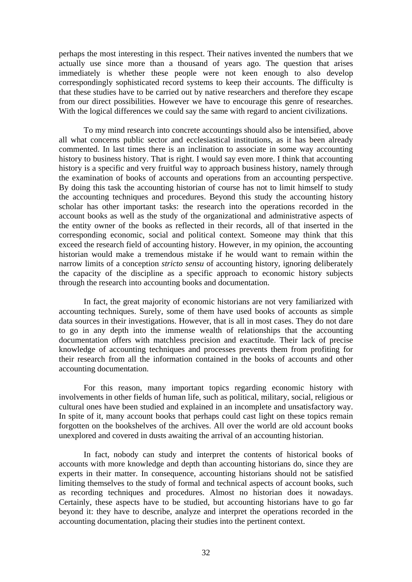perhaps the most interesting in this respect. Their natives invented the numbers that we actually use since more than a thousand of years ago. The question that arises immediately is whether these people were not keen enough to also develop correspondingly sophisticated record systems to keep their accounts. The difficulty is that these studies have to be carried out by native researchers and therefore they escape from our direct possibilities. However we have to encourage this genre of researches. With the logical differences we could say the same with regard to ancient civilizations.

To my mind research into concrete accountings should also be intensified, above all what concerns public sector and ecclesiastical institutions, as it has been already commented. In last times there is an inclination to associate in some way accounting history to business history. That is right. I would say even more. I think that accounting history is a specific and very fruitful way to approach business history, namely through the examination of books of accounts and operations from an accounting perspective. By doing this task the accounting historian of course has not to limit himself to study the accounting techniques and procedures. Beyond this study the accounting history scholar has other important tasks: the research into the operations recorded in the account books as well as the study of the organizational and administrative aspects of the entity owner of the books as reflected in their records, all of that inserted in the corresponding economic, social and political context. Someone may think that this exceed the research field of accounting history. However, in my opinion, the accounting historian would make a tremendous mistake if he would want to remain within the narrow limits of a conception *stricto sensu* of accounting history, ignoring deliberately the capacity of the discipline as a specific approach to economic history subjects through the research into accounting books and documentation.

In fact, the great majority of economic historians are not very familiarized with accounting techniques. Surely, some of them have used books of accounts as simple data sources in their investigations. However, that is all in most cases. They do not dare to go in any depth into the immense wealth of relationships that the accounting documentation offers with matchless precision and exactitude. Their lack of precise knowledge of accounting techniques and processes prevents them from profiting for their research from all the information contained in the books of accounts and other accounting documentation.

For this reason, many important topics regarding economic history with involvements in other fields of human life, such as political, military, social, religious or cultural ones have been studied and explained in an incomplete and unsatisfactory way. In spite of it, many account books that perhaps could cast light on these topics remain forgotten on the bookshelves of the archives. All over the world are old account books unexplored and covered in dusts awaiting the arrival of an accounting historian.

In fact, nobody can study and interpret the contents of historical books of accounts with more knowledge and depth than accounting historians do, since they are experts in their matter. In consequence, accounting historians should not be satisfied limiting themselves to the study of formal and technical aspects of account books, such as recording techniques and procedures. Almost no historian does it nowadays. Certainly, these aspects have to be studied, but accounting historians have to go far beyond it: they have to describe, analyze and interpret the operations recorded in the accounting documentation, placing their studies into the pertinent context.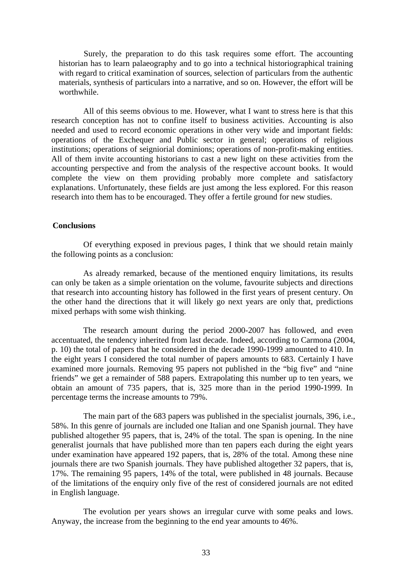Surely, the preparation to do this task requires some effort. The accounting historian has to learn palaeography and to go into a technical historiographical training with regard to critical examination of sources, selection of particulars from the authentic materials, synthesis of particulars into a narrative, and so on. However, the effort will be worthwhile.

All of this seems obvious to me. However, what I want to stress here is that this research conception has not to confine itself to business activities. Accounting is also needed and used to record economic operations in other very wide and important fields: operations of the Exchequer and Public sector in general; operations of religious institutions; operations of seigniorial dominions; operations of non-profit-making entities. All of them invite accounting historians to cast a new light on these activities from the accounting perspective and from the analysis of the respective account books. It would complete the view on them providing probably more complete and satisfactory explanations. Unfortunately, these fields are just among the less explored. For this reason research into them has to be encouraged. They offer a fertile ground for new studies.

# **Conclusions**

Of everything exposed in previous pages, I think that we should retain mainly the following points as a conclusion:

As already remarked, because of the mentioned enquiry limitations, its results can only be taken as a simple orientation on the volume, favourite subjects and directions that research into accounting history has followed in the first years of present century. On the other hand the directions that it will likely go next years are only that, predictions mixed perhaps with some wish thinking.

The research amount during the period 2000-2007 has followed, and even accentuated, the tendency inherited from last decade. Indeed, according to Carmona (2004, p. 10) the total of papers that he considered in the decade 1990-1999 amounted to 410. In the eight years I considered the total number of papers amounts to 683. Certainly I have examined more journals. Removing 95 papers not published in the "big five" and "nine friends" we get a remainder of 588 papers. Extrapolating this number up to ten years, we obtain an amount of 735 papers, that is, 325 more than in the period 1990-1999. In percentage terms the increase amounts to 79%.

The main part of the 683 papers was published in the specialist journals, 396, i.e., 58%. In this genre of journals are included one Italian and one Spanish journal. They have published altogether 95 papers, that is, 24% of the total. The span is opening. In the nine generalist journals that have published more than ten papers each during the eight years under examination have appeared 192 papers, that is, 28% of the total. Among these nine journals there are two Spanish journals. They have published altogether 32 papers, that is, 17%. The remaining 95 papers, 14% of the total, were published in 48 journals. Because of the limitations of the enquiry only five of the rest of considered journals are not edited in English language.

The evolution per years shows an irregular curve with some peaks and lows. Anyway, the increase from the beginning to the end year amounts to 46%.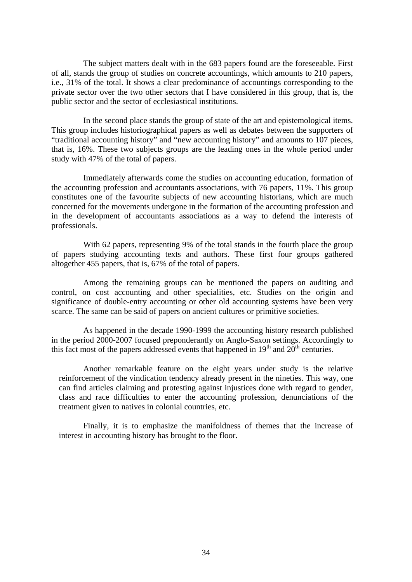The subject matters dealt with in the 683 papers found are the foreseeable. First of all, stands the group of studies on concrete accountings, which amounts to 210 papers, i.e., 31% of the total. It shows a clear predominance of accountings corresponding to the private sector over the two other sectors that I have considered in this group, that is, the public sector and the sector of ecclesiastical institutions.

In the second place stands the group of state of the art and epistemological items. This group includes historiographical papers as well as debates between the supporters of "traditional accounting history" and "new accounting history" and amounts to 107 pieces, that is, 16%. These two subjects groups are the leading ones in the whole period under study with 47% of the total of papers.

Immediately afterwards come the studies on accounting education, formation of the accounting profession and accountants associations, with 76 papers, 11%. This group constitutes one of the favourite subjects of new accounting historians, which are much concerned for the movements undergone in the formation of the accounting profession and in the development of accountants associations as a way to defend the interests of professionals.

With 62 papers, representing 9% of the total stands in the fourth place the group of papers studying accounting texts and authors. These first four groups gathered altogether 455 papers, that is, 67% of the total of papers.

Among the remaining groups can be mentioned the papers on auditing and control, on cost accounting and other specialities, etc. Studies on the origin and significance of double-entry accounting or other old accounting systems have been very scarce. The same can be said of papers on ancient cultures or primitive societies.

As happened in the decade 1990-1999 the accounting history research published in the period 2000-2007 focused preponderantly on Anglo-Saxon settings. Accordingly to this fact most of the papers addressed events that happened in  $19<sup>th</sup>$  and  $20<sup>th</sup>$  centuries.

Another remarkable feature on the eight years under study is the relative reinforcement of the vindication tendency already present in the nineties. This way, one can find articles claiming and protesting against injustices done with regard to gender, class and race difficulties to enter the accounting profession, denunciations of the treatment given to natives in colonial countries, etc.

Finally, it is to emphasize the manifoldness of themes that the increase of interest in accounting history has brought to the floor.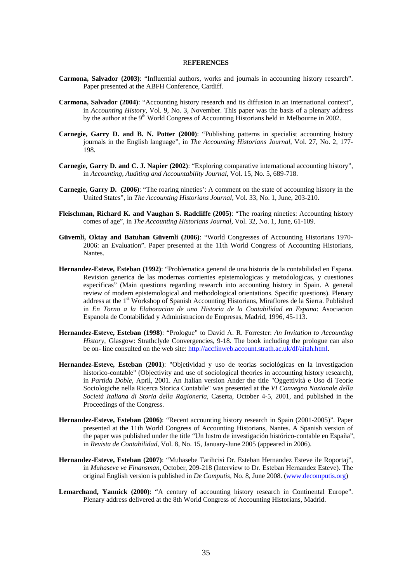#### RE**FERENCES**

- **Carmona, Salvador (2003)**: "Influential authors, works and journals in accounting history research". Paper presented at the ABFH Conference, Cardiff.
- **Carmona, Salvador (2004)**: "Accounting history research and its diffusion in an international context", in *Accounting History*, Vol. 9, No. 3, November. This paper was the basis of a plenary address by the author at the 9<sup>th</sup> World Congress of Accounting Historians held in Melbourne in 2002.
- **Carnegie, Garry D. and B. N. Potter (2000)**: "Publishing patterns in specialist accounting history journals in the English language", in *The Accounting Historians Journal*, Vol. 27, No. 2, 177- 198.
- **Carnegie, Garry D. and C. J. Napier (2002)**: "Exploring comparative international accounting history", in *Accounting, Auditing and Accountability Journal*, Vol. 15, No. 5, 689-718.
- **Carnegie, Garry D. (2006)**: "The roaring nineties': A comment on the state of accounting history in the United States", in *The Accounting Historians Journal*, Vol. 33, No. 1, June, 203-210.
- **Fleischman, Richard K. and Vaughan S. Radcliffe (2005)**: "The roaring nineties: Accounting history comes of age", in *The Accounting Historians Journal*, Vol. 32, No. 1, June, 61-109.
- **Güvemli, Oktay and Batuhan Güvemli (2006)**: "World Congresses of Accounting Historians 1970- 2006: an Evaluation". Paper presented at the 11th World Congress of Accounting Historians, Nantes.
- **Hernandez-Esteve, Esteban (1992)**: "Problematica general de una historia de la contabilidad en Espana. Revision generica de las modernas corrientes epistemologicas y metodologicas, y cuestiones especificas" (Main questions regarding research into accounting history in Spain. A general review of modern epistemological and methodological orientations. Specific questions). Plenary address at the 1st Workshop of Spanish Accounting Historians, Miraflores de la Sierra. Published in *En Torno a la Elaboracion de una Historia de la Contabilidad en Espana*: Asociacion Espanola de Contabilidad y Administracion de Empresas, Madrid, 1996, 45-113.
- **Hernandez-Esteve, Esteban (1998)**: "Prologue" to David A. R. Forrester: *An Invitation to Accounting History*, Glasgow: Strathclyde Convergencies, 9-18. The book including the prologue can also be on- line consulted on the web site: http://accfinweb.account.strath.ac.uk/df/aitah.html.
- **Hernandez-Esteve, Esteban (2001**): "Objetividad y uso de teorias sociológicas en la investigacion historico-contable" (Objectivity and use of sociological theories in accounting history research), in *Partida Doble*, April, 2001. An Italian version Ander the title "Oggettività e Uso di Teorie Sociologiche nella Ricerca Storica Contabile" was presented at the *VI Convegno Nazionale della Società Italiana di Storia della Ragioneria*, Caserta, October 4-5, 2001, and published in the Proceedings of the Congress.
- **Hernandez-Esteve, Esteban (2006)**: "Recent accounting history research in Spain (2001-2005)". Paper presented at the 11th World Congress of Accounting Historians, Nantes. A Spanish version of the paper was published under the title "Un lustro de investigación histórico-contable en España", in *Revista de Contabilidad*, Vol. 8, No. 15, January-June 2005 (appeared in 2006).
- **Hernandez-Esteve, Esteban (2007)**: "Muhasebe Tarihcisi Dr. Esteban Hernandez Esteve ile Roportaj", in *Muhaseve ve Finansman*, October, 209-218 (Interview to Dr. Esteban Hernandez Esteve). The original English version is published in *De Computis*, No. 8, June 2008. (www.decomputis.org)
- Lemarchand, Yannick (2000): "A century of accounting history research in Continental Europe". Plenary address delivered at the 8th World Congress of Accounting Historians, Madrid.